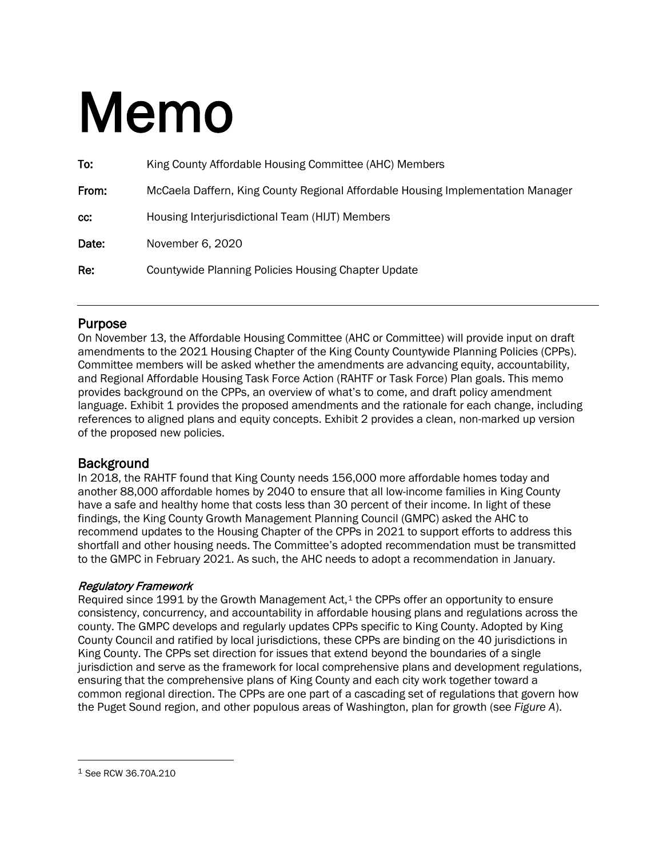# Memo

| To:   | King County Affordable Housing Committee (AHC) Members                          |  |
|-------|---------------------------------------------------------------------------------|--|
| From: | McCaela Daffern, King County Regional Affordable Housing Implementation Manager |  |
| cc:   | Housing Interjurisdictional Team (HIJT) Members                                 |  |
| Date: | November 6, 2020                                                                |  |
| Re:   | Countywide Planning Policies Housing Chapter Update                             |  |
|       |                                                                                 |  |

**Purpose**<br>On November 13, the Affordable Housing Committee (AHC or Committee) will provide input on draft amendments to the 2021 Housing Chapter of the King County Countywide Planning Policies (CPPs). Committee members will be asked whether the amendments are advancing equity, accountability, and Regional Affordable Housing Task Force Action (RAHTF or Task Force) Plan goals. This memo provides background on the CPPs, an overview of what's to come, and draft policy amendment language. Exhibit 1 provides the proposed amendments and the rationale for each change, including references to aligned plans and equity concepts. Exhibit 2 provides a clean, non-marked up version of the proposed new policies.

# **Background**

In 2018, the RAHTF found that King County needs 156,000 more affordable homes today and another 88,000 affordable homes by 2040 to ensure that all low-income families in King County have a safe and healthy home that costs less than 30 percent of their income. In light of these findings, the King County Growth Management Planning Council (GMPC) asked the AHC to recommend updates to the Housing Chapter of the CPPs in 2021 to support efforts to address this shortfall and other housing needs. The Committee's adopted recommendation must be transmitted to the GMPC in February 2021. As such, the AHC needs to adopt a recommendation in January.

# Regulatory Framework

Required since 199[1](#page-0-0) by the Growth Management Act, $1$  the CPPs offer an opportunity to ensure consistency, concurrency, and accountability in affordable housing plans and regulations across the county. The GMPC develops and regularly updates CPPs specific to King County. Adopted by King County Council and ratified by local jurisdictions, these CPPs are binding on the 40 jurisdictions in King County. The CPPs set direction for issues that extend beyond the boundaries of a single jurisdiction and serve as the framework for local comprehensive plans and development regulations, ensuring that the comprehensive plans of King County and each city work together toward a common regional direction. The CPPs are one part of a cascading set of regulations that govern how the Puget Sound region, and other populous areas of Washington, plan for growth (see *Figure A*).

<span id="page-0-0"></span><sup>1</sup> See RCW 36.70A.210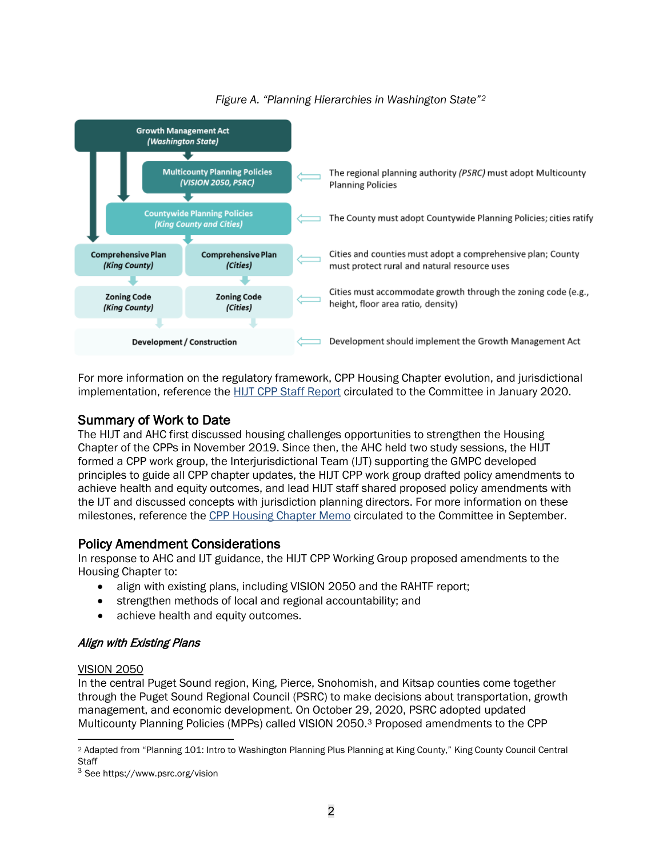

# *Figure A. "Planning Hierarchies in Washington State"[2](#page-1-0)*

For more information on the regulatory framework, CPP Housing Chapter evolution, and jurisdictional implementation, reference the HIJT [CPP Staff Report](https://www.kingcounty.gov/%7E/media/depts/community-human-services/housing-homelessness-community-development/documents/affordable-housing-committee/Meeting_01-17-2020/CPP_Staff_Report_to_AHC.ashx?la=en) circulated to the Committee in January 2020.

**Summary of Work to Date**<br>The HIJT and AHC first discussed housing challenges opportunities to strengthen the Housing Chapter of the CPPs in November 2019. Since then, the AHC held two study sessions, the HIJT formed a CPP work group, the Interjurisdictional Team (IJT) supporting the GMPC developed principles to guide all CPP chapter updates, the HIJT CPP work group drafted policy amendments to achieve health and equity outcomes, and lead HIJT staff shared proposed policy amendments with the IJT and discussed concepts with jurisdiction planning directors. For more information on these milestones, reference the [CPP Housing Chapter Memo](https://www.kingcounty.gov/%7E/media/depts/community-human-services/housing-homelessness-community-development/documents/affordable-housing-committee/Meeting_09-30-2020/AHC_CPP_Housing_Chapter_Memo.ashx?la=en) circulated to the Committee in September.

# Policy Amendment Considerations

In response to AHC and IJT guidance, the HIJT CPP Working Group proposed amendments to the Housing Chapter to:

- align with existing plans, including VISION 2050 and the RAHTF report;
- strengthen methods of local and regional accountability; and
- achieve health and equity outcomes.

# Align with Existing Plans

# VISION 2050

In the central Puget Sound region, King, Pierce, Snohomish, and Kitsap counties come together through the Puget Sound Regional Council (PSRC) to make decisions about transportation, growth management, and economic development. On October 29, 2020, PSRC adopted updated Multicounty Planning Policies (MPPs) called VISION 2050.[3](#page-1-1) Proposed amendments to the CPP

<span id="page-1-0"></span><sup>2</sup> Adapted from "Planning 101: Intro to Washington Planning Plus Planning at King County," King County Council Central **Staff** 

<span id="page-1-1"></span><sup>3</sup> See https://www.psrc.org/vision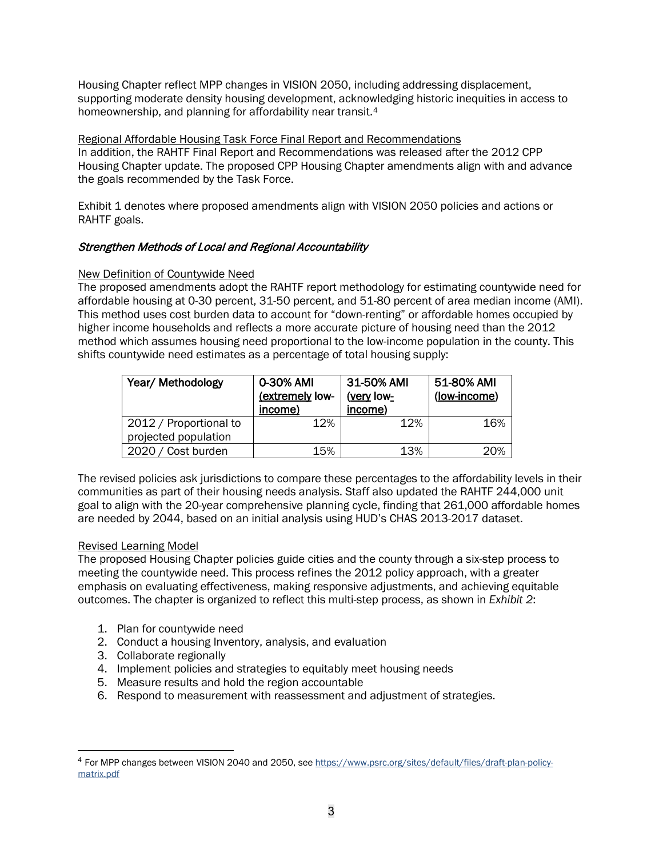Housing Chapter reflect MPP changes in VISION 2050, including addressing displacement, supporting moderate density housing development, acknowledging historic inequities in access to homeownership, and planning for affordability near transit.<sup>[4](#page-2-0)</sup>

Regional Affordable Housing Task Force Final Report and Recommendations In addition, the RAHTF Final Report and Recommendations was released after the 2012 CPP Housing Chapter update. The proposed CPP Housing Chapter amendments align with and advance the goals recommended by the Task Force.

Exhibit 1 denotes where proposed amendments align with VISION 2050 policies and actions or RAHTF goals.

# Strengthen Methods of Local and Regional Accountability

# New Definition of Countywide Need

The proposed amendments adopt the RAHTF report methodology for estimating countywide need for affordable housing at 0-30 percent, 31-50 percent, and 51-80 percent of area median income (AMI). This method uses cost burden data to account for "down-renting" or affordable homes occupied by higher income households and reflects a more accurate picture of housing need than the 2012 method which assumes housing need proportional to the low-income population in the county. This shifts countywide need estimates as a percentage of total housing supply:

| Year/ Methodology      | 0-30% AMI<br>(extremely low-<br>income) | 31-50% AMI<br>(very low-<br>income) | 51-80% AMI<br>(low-income) |
|------------------------|-----------------------------------------|-------------------------------------|----------------------------|
| 2012 / Proportional to | 12%                                     | 12%                                 | 16%                        |
| projected population   |                                         |                                     |                            |
| 2020 / Cost burden     | 15%                                     | 13%                                 | 20%                        |

The revised policies ask jurisdictions to compare these percentages to the affordability levels in their communities as part of their housing needs analysis. Staff also updated the RAHTF 244,000 unit goal to align with the 20-year comprehensive planning cycle, finding that 261,000 affordable homes are needed by 2044, based on an initial analysis using HUD's CHAS 2013-2017 dataset.

# Revised Learning Model

The proposed Housing Chapter policies guide cities and the county through a six-step process to meeting the countywide need. This process refines the 2012 policy approach, with a greater emphasis on evaluating effectiveness, making responsive adjustments, and achieving equitable outcomes. The chapter is organized to reflect this multi-step process, as shown in *Exhibit 2*:

- 1. Plan for countywide need
- 2. Conduct a housing Inventory, analysis, and evaluation
- 3. Collaborate regionally
- 4. Implement policies and strategies to equitably meet housing needs
- 5. Measure results and hold the region accountable
- 6. Respond to measurement with reassessment and adjustment of strategies.

<span id="page-2-0"></span><sup>4</sup> For MPP changes between VISION 2040 and 2050, se[e https://www.psrc.org/sites/default/files/draft-plan-policy](https://www.psrc.org/sites/default/files/draft-plan-policy-matrix.pdf)[matrix.pdf](https://www.psrc.org/sites/default/files/draft-plan-policy-matrix.pdf)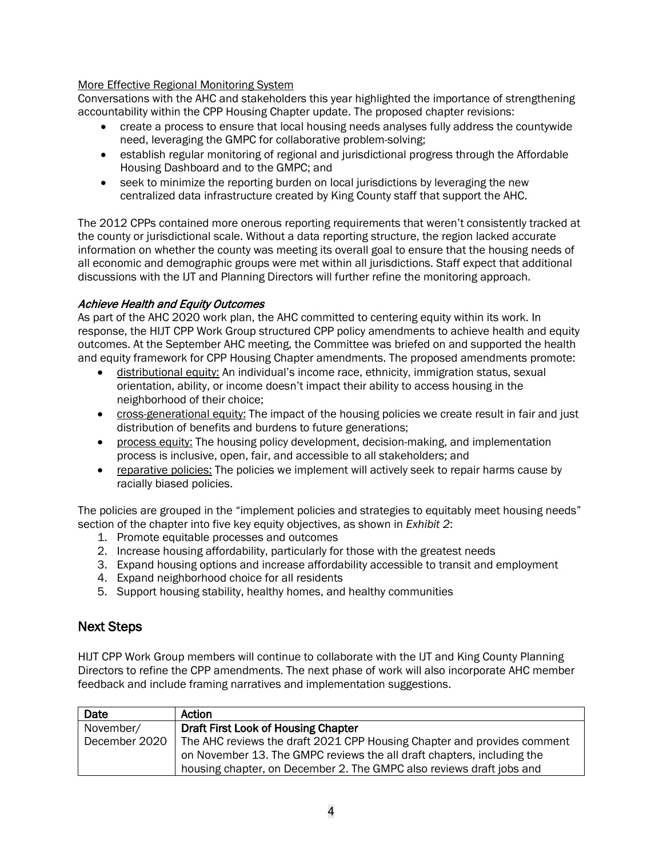# More Effective Regional Monitoring System

Conversations with the AHC and stakeholders this year highlighted the importance of strengthening accountability within the CPP Housing Chapter update. The proposed chapter revisions:

- create a process to ensure that local housing needs analyses fully address the countywide need, leveraging the GMPC for collaborative problem-solving;
- establish regular monitoring of regional and jurisdictional progress through the Affordable Housing Dashboard and to the GMPC; and
- seek to minimize the reporting burden on local jurisdictions by leveraging the new centralized data infrastructure created by King County staff that support the AHC.

The 2012 CPPs contained more onerous reporting requirements that weren't consistently tracked at the county or jurisdictional scale. Without a data reporting structure, the region lacked accurate information on whether the county was meeting its overall goal to ensure that the housing needs of all economic and demographic groups were met within all jurisdictions. Staff expect that additional discussions with the IJT and Planning Directors will further refine the monitoring approach.

# Achieve Health and Equity Outcomes

As part of the AHC 2020 work plan, the AHC committed to centering equity within its work. In response, the HIJT CPP Work Group structured CPP policy amendments to achieve health and equity outcomes. At the September AHC meeting, the Committee was briefed on and supported the health and equity framework for CPP Housing Chapter amendments. The proposed amendments promote:

- distributional equity: An individual's income race, ethnicity, immigration status, sexual orientation, ability, or income doesn't impact their ability to access housing in the neighborhood of their choice;
- cross-generational equity: The impact of the housing policies we create result in fair and just distribution of benefits and burdens to future generations;
- process equity: The housing policy development, decision-making, and implementation process is inclusive, open, fair, and accessible to all stakeholders; and
- reparative policies: The policies we implement will actively seek to repair harms cause by racially biased policies.

The policies are grouped in the "implement policies and strategies to equitably meet housing needs" section of the chapter into five key equity objectives, as shown in *Exhibit 2*:

- 1. Promote equitable processes and outcomes
- 2. Increase housing affordability, particularly for those with the greatest needs
- 3. Expand housing options and increase affordability accessible to transit and employment
- 4. Expand neighborhood choice for all residents
- 5. Support housing stability, healthy homes, and healthy communities

# Next Steps

HIJT CPP Work Group members will continue to collaborate with the IJT and King County Planning Directors to refine the CPP amendments. The next phase of work will also incorporate AHC member feedback and include framing narratives and implementation suggestions.

| Date          | Action                                                                  |  |
|---------------|-------------------------------------------------------------------------|--|
| November/     | Draft First Look of Housing Chapter                                     |  |
| December 2020 | The AHC reviews the draft 2021 CPP Housing Chapter and provides comment |  |
|               | on November 13. The GMPC reviews the all draft chapters, including the  |  |
|               | housing chapter, on December 2. The GMPC also reviews draft jobs and    |  |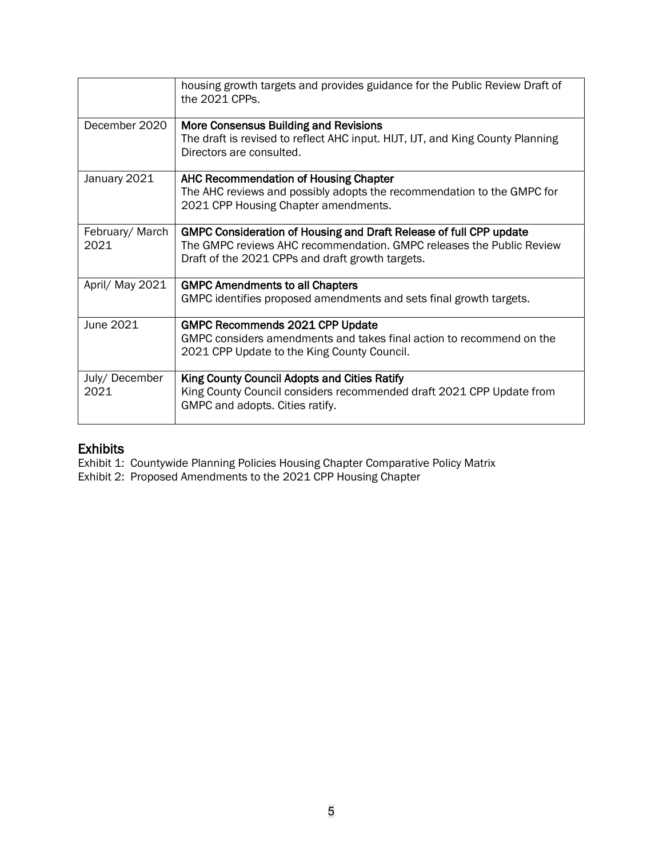|                         | housing growth targets and provides guidance for the Public Review Draft of<br>the 2021 CPPs.                                                                                                  |
|-------------------------|------------------------------------------------------------------------------------------------------------------------------------------------------------------------------------------------|
| December 2020           | More Consensus Building and Revisions<br>The draft is revised to reflect AHC input. HIJT, IJT, and King County Planning<br>Directors are consulted.                                            |
| January 2021            | AHC Recommendation of Housing Chapter<br>The AHC reviews and possibly adopts the recommendation to the GMPC for<br>2021 CPP Housing Chapter amendments.                                        |
| February/ March<br>2021 | GMPC Consideration of Housing and Draft Release of full CPP update<br>The GMPC reviews AHC recommendation. GMPC releases the Public Review<br>Draft of the 2021 CPPs and draft growth targets. |
| April/ May 2021         | <b>GMPC Amendments to all Chapters</b><br>GMPC identifies proposed amendments and sets final growth targets.                                                                                   |
| June 2021               | <b>GMPC Recommends 2021 CPP Update</b><br>GMPC considers amendments and takes final action to recommend on the<br>2021 CPP Update to the King County Council.                                  |
| July/December<br>2021   | King County Council Adopts and Cities Ratify<br>King County Council considers recommended draft 2021 CPP Update from<br>GMPC and adopts. Cities ratify.                                        |

**Exhibits**<br>Exhibit 1: Countywide Planning Policies Housing Chapter Comparative Policy Matrix

Exhibit 2: Proposed Amendments to the 2021 CPP Housing Chapter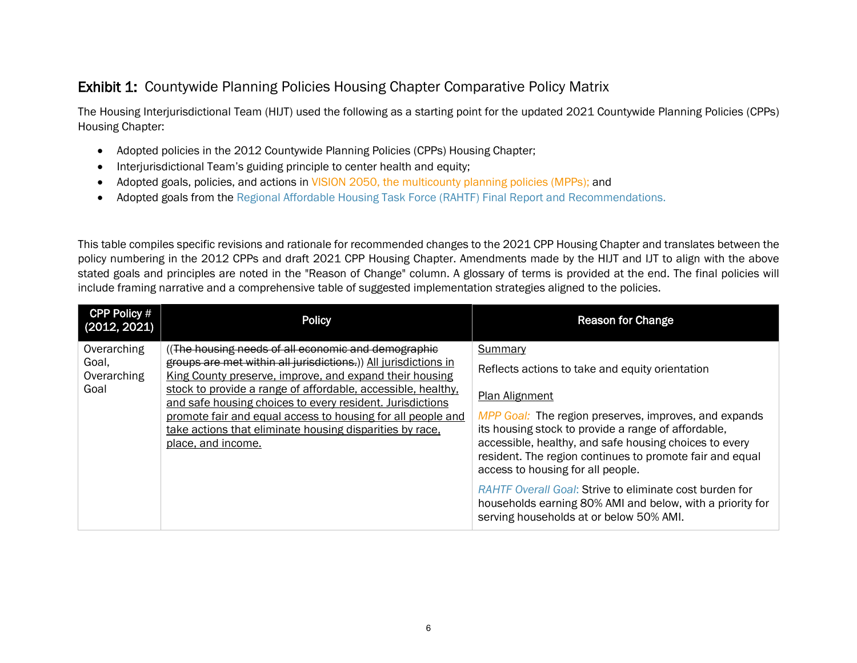# **Exhibit 1: Countywide Planning Policies Housing Chapter Comparative Policy Matrix**

The Housing Interjurisdictional Team (HIJT) used the following as a starting point for the updated 2021 Countywide Planning Policies (CPPs) Housing Chapter:

- Adopted policies in the 2012 Countywide Planning Policies (CPPs) Housing Chapter;
- Interjurisdictional Team's guiding principle to center health and equity;
- Adopted goals, policies, and actions in VISION 2050, the multicounty planning policies (MPPs); and
- Adopted goals from the Regional Affordable Housing Task Force (RAHTF) Final Report and Recommendations.

This table compiles specific revisions and rationale for recommended changes to the 2021 CPP Housing Chapter and translates between the policy numbering in the 2012 CPPs and draft 2021 CPP Housing Chapter. Amendments made by the HIJT and IJT to align with the above stated goals and principles are noted in the "Reason of Change" column. A glossary of terms is provided at the end. The final policies will include framing narrative and a comprehensive table of suggested implementation strategies aligned to the policies.

| <b>CPP Policy #</b><br>(2012, 2021)                                                                                                                                                                        | <b>Policy</b>                                                                                                                                                                                                                                                                                    | <b>Reason for Change</b>                                                                                                                                               |
|------------------------------------------------------------------------------------------------------------------------------------------------------------------------------------------------------------|--------------------------------------------------------------------------------------------------------------------------------------------------------------------------------------------------------------------------------------------------------------------------------------------------|------------------------------------------------------------------------------------------------------------------------------------------------------------------------|
| Overarching<br>Goal,<br>Overarching<br>Goal                                                                                                                                                                | (The housing needs of all economic and demographic<br>groups are met within all jurisdictions.)) All jurisdictions in<br>King County preserve, improve, and expand their housing<br>stock to provide a range of affordable, accessible, healthy,                                                 | Summary<br>Reflects actions to take and equity orientation                                                                                                             |
| and safe housing choices to every resident. Jurisdictions<br>promote fair and equal access to housing for all people and<br>take actions that eliminate housing disparities by race,<br>place, and income. | <b>Plan Alignment</b><br>MPP Goal: The region preserves, improves, and expands<br>its housing stock to provide a range of affordable,<br>accessible, healthy, and safe housing choices to every<br>resident. The region continues to promote fair and equal<br>access to housing for all people. |                                                                                                                                                                        |
|                                                                                                                                                                                                            |                                                                                                                                                                                                                                                                                                  | <b>RAHTF Overall Goal: Strive to eliminate cost burden for</b><br>households earning 80% AMI and below, with a priority for<br>serving households at or below 50% AMI. |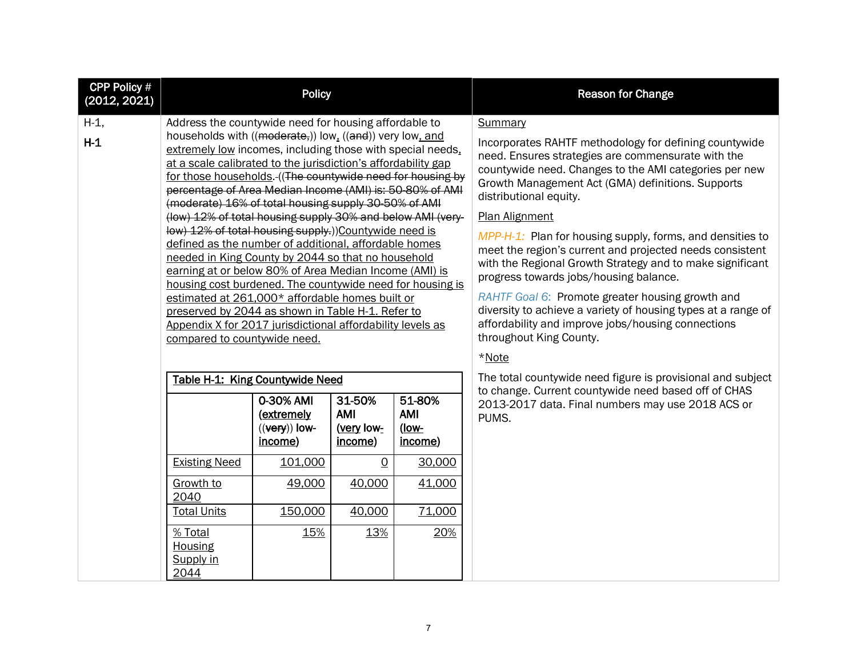| <b>CPP Policy #</b><br>(2012, 2021) | <b>Policy</b>                                                                                                                                                                                                                                                                                                                                                                                                                                                                                                                                                                                                                                                                                                                                                                                                                                                                                                                                                                                         |                                                                  |                                                          |                                                    | <b>Reason for Change</b>                                                                                                                                                                                                                                                                                                                                                                                                                                                                                                                                                                                                                                                                                                 |
|-------------------------------------|-------------------------------------------------------------------------------------------------------------------------------------------------------------------------------------------------------------------------------------------------------------------------------------------------------------------------------------------------------------------------------------------------------------------------------------------------------------------------------------------------------------------------------------------------------------------------------------------------------------------------------------------------------------------------------------------------------------------------------------------------------------------------------------------------------------------------------------------------------------------------------------------------------------------------------------------------------------------------------------------------------|------------------------------------------------------------------|----------------------------------------------------------|----------------------------------------------------|--------------------------------------------------------------------------------------------------------------------------------------------------------------------------------------------------------------------------------------------------------------------------------------------------------------------------------------------------------------------------------------------------------------------------------------------------------------------------------------------------------------------------------------------------------------------------------------------------------------------------------------------------------------------------------------------------------------------------|
| $H-1$ ,<br>$H-1$                    | Address the countywide need for housing affordable to<br>households with ((moderate,)) low, ((and)) very low, and<br>extremely low incomes, including those with special needs.<br>at a scale calibrated to the jurisdiction's affordability gap<br>for those households. ((The countywide need for housing by<br>percentage of Area Median Income (AMI) is: 50-80% of AMI<br>(moderate) 16% of total housing supply 30-50% of AMI<br>(low) 12% of total housing supply 30% and below AMI (very-<br>low) 12% of total housing supply.))Countywide need is<br>defined as the number of additional, affordable homes<br>needed in King County by 2044 so that no household<br>earning at or below 80% of Area Median Income (AMI) is<br>housing cost burdened. The countywide need for housing is<br>estimated at 261,000* affordable homes built or<br>preserved by 2044 as shown in Table H-1. Refer to<br>Appendix X for 2017 jurisdictional affordability levels as<br>compared to countywide need. |                                                                  |                                                          |                                                    | Summary<br>Incorporates RAHTF methodology for defining countywide<br>need. Ensures strategies are commensurate with the<br>countywide need. Changes to the AMI categories per new<br>Growth Management Act (GMA) definitions. Supports<br>distributional equity.<br>Plan Alignment<br>MPP-H-1: Plan for housing supply, forms, and densities to<br>meet the region's current and projected needs consistent<br>with the Regional Growth Strategy and to make significant<br>progress towards jobs/housing balance.<br>RAHTF Goal 6: Promote greater housing growth and<br>diversity to achieve a variety of housing types at a range of<br>affordability and improve jobs/housing connections<br>throughout King County. |
|                                     | Table H-1: King Countywide Need<br><b>Existing Need</b>                                                                                                                                                                                                                                                                                                                                                                                                                                                                                                                                                                                                                                                                                                                                                                                                                                                                                                                                               | 0-30% AMI<br>(extremely<br>$((very))$ low-<br>income)<br>101,000 | 31-50%<br>AMI<br>(very low-<br>income)<br>$\overline{0}$ | 51-80%<br>AMI<br><u>(low-</u><br>income)<br>30,000 | *Note<br>The total countywide need figure is provisional and subject<br>to change. Current countywide need based off of CHAS<br>2013-2017 data. Final numbers may use 2018 ACS or<br>PUMS.                                                                                                                                                                                                                                                                                                                                                                                                                                                                                                                               |
|                                     | Growth to<br>2040<br><b>Total Units</b><br>% Total<br><b>Housing</b><br>Supply in<br>2044                                                                                                                                                                                                                                                                                                                                                                                                                                                                                                                                                                                                                                                                                                                                                                                                                                                                                                             | 49,000<br>150,000<br>15%                                         | 40,000<br>40,000<br>13%                                  | 41,000<br>71,000<br>20%                            |                                                                                                                                                                                                                                                                                                                                                                                                                                                                                                                                                                                                                                                                                                                          |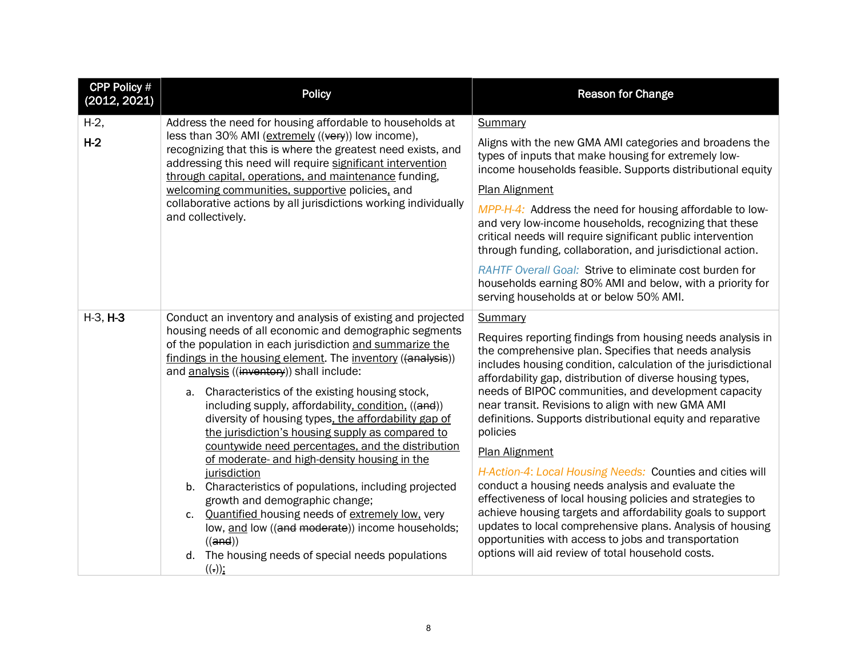| <b>CPP Policy #</b><br>(2012, 2021) | <b>Policy</b>                                                                                                                                                                                                                                                                                                                                                                                                                                                                                                                                                                                                                                                                                                                                                                                                                                                                                                                                | <b>Reason for Change</b>                                                                                                                                                                                                                                                                                                                                                                                                                                                                                                                                                                                                                                                                                                                                                                                                                                                                                   |
|-------------------------------------|----------------------------------------------------------------------------------------------------------------------------------------------------------------------------------------------------------------------------------------------------------------------------------------------------------------------------------------------------------------------------------------------------------------------------------------------------------------------------------------------------------------------------------------------------------------------------------------------------------------------------------------------------------------------------------------------------------------------------------------------------------------------------------------------------------------------------------------------------------------------------------------------------------------------------------------------|------------------------------------------------------------------------------------------------------------------------------------------------------------------------------------------------------------------------------------------------------------------------------------------------------------------------------------------------------------------------------------------------------------------------------------------------------------------------------------------------------------------------------------------------------------------------------------------------------------------------------------------------------------------------------------------------------------------------------------------------------------------------------------------------------------------------------------------------------------------------------------------------------------|
| $H-2$ ,<br>$H-2$                    | Address the need for housing affordable to households at<br>less than 30% AMI (extremely ((very)) low income),<br>recognizing that this is where the greatest need exists, and<br>addressing this need will require significant intervention<br>through capital, operations, and maintenance funding,<br>welcoming communities, supportive policies, and<br>collaborative actions by all jurisdictions working individually<br>and collectively.                                                                                                                                                                                                                                                                                                                                                                                                                                                                                             | Summary<br>Aligns with the new GMA AMI categories and broadens the<br>types of inputs that make housing for extremely low-<br>income households feasible. Supports distributional equity<br>Plan Alignment<br>MPP-H-4: Address the need for housing affordable to low-<br>and very low-income households, recognizing that these<br>critical needs will require significant public intervention<br>through funding, collaboration, and jurisdictional action.                                                                                                                                                                                                                                                                                                                                                                                                                                              |
|                                     |                                                                                                                                                                                                                                                                                                                                                                                                                                                                                                                                                                                                                                                                                                                                                                                                                                                                                                                                              | <b>RAHTF Overall Goal: Strive to eliminate cost burden for</b><br>households earning 80% AMI and below, with a priority for<br>serving households at or below 50% AMI.                                                                                                                                                                                                                                                                                                                                                                                                                                                                                                                                                                                                                                                                                                                                     |
| $H-3, H-3$                          | Conduct an inventory and analysis of existing and projected<br>housing needs of all economic and demographic segments<br>of the population in each jurisdiction and summarize the<br>findings in the housing element. The inventory ((analysis))<br>and analysis ((inventory)) shall include:<br>a. Characteristics of the existing housing stock,<br>including supply, affordability, condition, ((and))<br>diversity of housing types, the affordability gap of<br>the jurisdiction's housing supply as compared to<br>countywide need percentages, and the distribution<br>of moderate- and high-density housing in the<br>jurisdiction<br>b. Characteristics of populations, including projected<br>growth and demographic change;<br>Quantified housing needs of extremely low, very<br>$\mathsf{C}$ .<br>low, and low ((and moderate)) income households;<br>((and))<br>d. The housing needs of special needs populations<br>$((.))$ ; | <b>Summary</b><br>Requires reporting findings from housing needs analysis in<br>the comprehensive plan. Specifies that needs analysis<br>includes housing condition, calculation of the jurisdictional<br>affordability gap, distribution of diverse housing types,<br>needs of BIPOC communities, and development capacity<br>near transit. Revisions to align with new GMA AMI<br>definitions. Supports distributional equity and reparative<br>policies<br><b>Plan Alignment</b><br>H-Action-4: Local Housing Needs: Counties and cities will<br>conduct a housing needs analysis and evaluate the<br>effectiveness of local housing policies and strategies to<br>achieve housing targets and affordability goals to support<br>updates to local comprehensive plans. Analysis of housing<br>opportunities with access to jobs and transportation<br>options will aid review of total household costs. |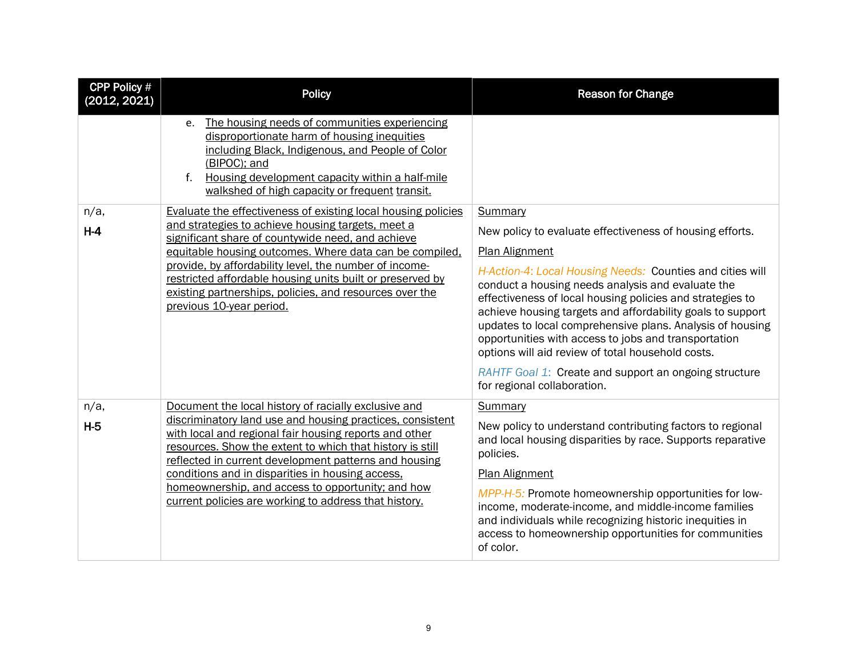| <b>CPP Policy #</b><br>(2012, 2021) | <b>Policy</b>                                                                                                                                                                                                                                                                                                                                                                                                                                                       | <b>Reason for Change</b>                                                                                                                                                                                                                                                                                                                                                                                                                                                                                                                                                                                    |
|-------------------------------------|---------------------------------------------------------------------------------------------------------------------------------------------------------------------------------------------------------------------------------------------------------------------------------------------------------------------------------------------------------------------------------------------------------------------------------------------------------------------|-------------------------------------------------------------------------------------------------------------------------------------------------------------------------------------------------------------------------------------------------------------------------------------------------------------------------------------------------------------------------------------------------------------------------------------------------------------------------------------------------------------------------------------------------------------------------------------------------------------|
|                                     | e. The housing needs of communities experiencing<br>disproportionate harm of housing inequities<br>including Black, Indigenous, and People of Color<br>(BIPOC); and<br>Housing development capacity within a half-mile<br>$f_{\cdot}$<br>walkshed of high capacity or frequent transit.                                                                                                                                                                             |                                                                                                                                                                                                                                                                                                                                                                                                                                                                                                                                                                                                             |
| $n/a$ ,<br>$H-4$                    | <b>Evaluate the effectiveness of existing local housing policies</b><br>and strategies to achieve housing targets, meet a<br>significant share of countywide need, and achieve<br>equitable housing outcomes. Where data can be compiled,<br>provide, by affordability level, the number of income-<br>restricted affordable housing units built or preserved by<br>existing partnerships, policies, and resources over the<br>previous 10-year period.             | Summary<br>New policy to evaluate effectiveness of housing efforts.<br><b>Plan Alignment</b><br>H-Action-4: Local Housing Needs: Counties and cities will<br>conduct a housing needs analysis and evaluate the<br>effectiveness of local housing policies and strategies to<br>achieve housing targets and affordability goals to support<br>updates to local comprehensive plans. Analysis of housing<br>opportunities with access to jobs and transportation<br>options will aid review of total household costs.<br>RAHTF Goal 1: Create and support an ongoing structure<br>for regional collaboration. |
| $n/a$ ,<br>$H-5$                    | Document the local history of racially exclusive and<br>discriminatory land use and housing practices, consistent<br>with local and regional fair housing reports and other<br>resources. Show the extent to which that history is still<br>reflected in current development patterns and housing<br>conditions and in disparities in housing access.<br>homeownership, and access to opportunity; and how<br>current policies are working to address that history. | Summary<br>New policy to understand contributing factors to regional<br>and local housing disparities by race. Supports reparative<br>policies.<br><b>Plan Alignment</b><br>MPP-H-5: Promote homeownership opportunities for low-<br>income, moderate-income, and middle-income families<br>and individuals while recognizing historic inequities in<br>access to homeownership opportunities for communities<br>of color.                                                                                                                                                                                  |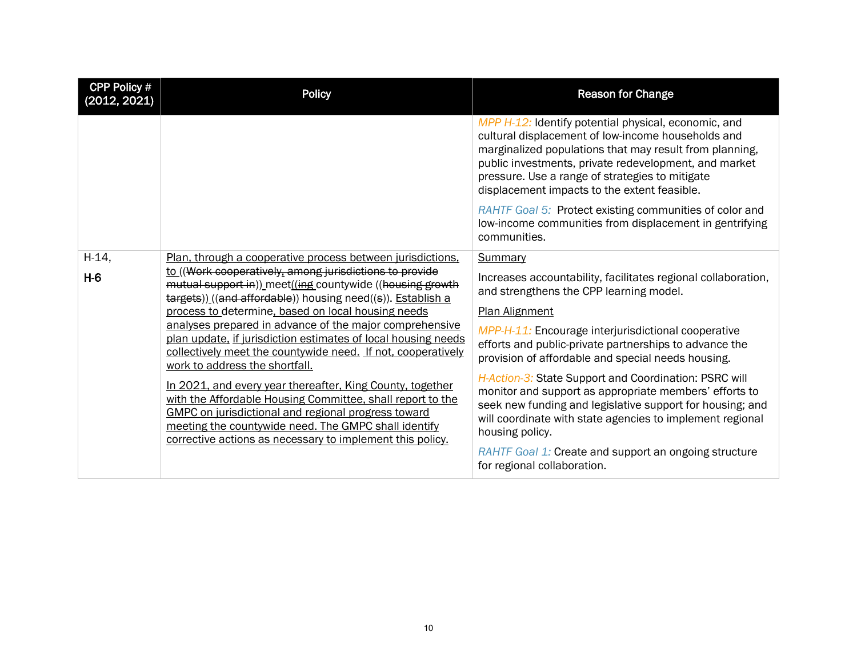| CPP Policy #<br>(2012, 2021) | <b>Policy</b>                                                                                                                                                                                                                                                                                                                                                                                                                                                                                                                                                                                                                                                                                                                                                                                                                                | <b>Reason for Change</b>                                                                                                                                                                                                                                                                                                                                                                                                                                                                                                                                                                                                                                                    |
|------------------------------|----------------------------------------------------------------------------------------------------------------------------------------------------------------------------------------------------------------------------------------------------------------------------------------------------------------------------------------------------------------------------------------------------------------------------------------------------------------------------------------------------------------------------------------------------------------------------------------------------------------------------------------------------------------------------------------------------------------------------------------------------------------------------------------------------------------------------------------------|-----------------------------------------------------------------------------------------------------------------------------------------------------------------------------------------------------------------------------------------------------------------------------------------------------------------------------------------------------------------------------------------------------------------------------------------------------------------------------------------------------------------------------------------------------------------------------------------------------------------------------------------------------------------------------|
|                              |                                                                                                                                                                                                                                                                                                                                                                                                                                                                                                                                                                                                                                                                                                                                                                                                                                              | MPP H-12: Identify potential physical, economic, and<br>cultural displacement of low-income households and<br>marginalized populations that may result from planning,<br>public investments, private redevelopment, and market<br>pressure. Use a range of strategies to mitigate<br>displacement impacts to the extent feasible.                                                                                                                                                                                                                                                                                                                                           |
|                              |                                                                                                                                                                                                                                                                                                                                                                                                                                                                                                                                                                                                                                                                                                                                                                                                                                              | RAHTF Goal 5: Protect existing communities of color and<br>low-income communities from displacement in gentrifying<br>communities.                                                                                                                                                                                                                                                                                                                                                                                                                                                                                                                                          |
| $H-14,$<br>$H-6$             | Plan, through a cooperative process between jurisdictions,<br>to ((Work cooperatively, among jurisdictions to provide<br>mutual support in)) meet((ing countywide ((housing growth<br>targets)) ((and affordable)) housing need((s)). Establish a<br>process to determine, based on local housing needs<br>analyses prepared in advance of the major comprehensive<br>plan update, if jurisdiction estimates of local housing needs<br>collectively meet the countywide need. If not, cooperatively<br>work to address the shortfall.<br>In 2021, and every year thereafter, King County, together<br>with the Affordable Housing Committee, shall report to the<br>GMPC on jurisdictional and regional progress toward<br>meeting the countywide need. The GMPC shall identify<br>corrective actions as necessary to implement this policy. | Summary<br>Increases accountability, facilitates regional collaboration,<br>and strengthens the CPP learning model.<br><b>Plan Alignment</b><br>MPP-H-11: Encourage interjurisdictional cooperative<br>efforts and public-private partnerships to advance the<br>provision of affordable and special needs housing.<br>H-Action-3: State Support and Coordination: PSRC will<br>monitor and support as appropriate members' efforts to<br>seek new funding and legislative support for housing; and<br>will coordinate with state agencies to implement regional<br>housing policy.<br>RAHTF Goal 1: Create and support an ongoing structure<br>for regional collaboration. |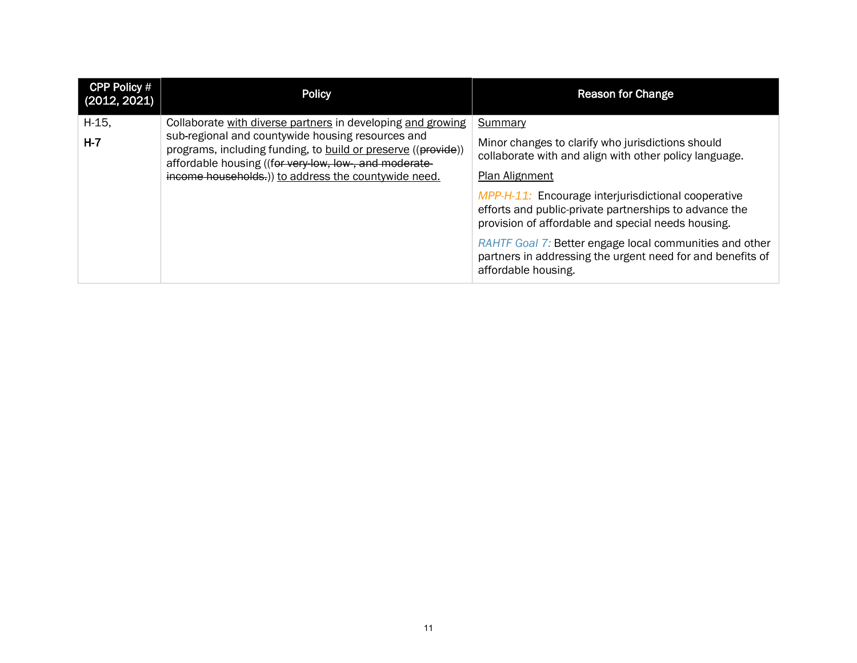| <b>CPP Policy #</b><br>(2012, 2021) | <b>Policy</b>                                                                                                                                                               | <b>Reason for Change</b>                                                                                                                                            |
|-------------------------------------|-----------------------------------------------------------------------------------------------------------------------------------------------------------------------------|---------------------------------------------------------------------------------------------------------------------------------------------------------------------|
| $H-15$ ,                            | Collaborate with diverse partners in developing and growing                                                                                                                 | Summary                                                                                                                                                             |
| $H - 7$                             | sub-regional and countywide housing resources and<br>programs, including funding, to build or preserve ((provide))<br>affordable housing ((for very low, low, and moderate- | Minor changes to clarify who jurisdictions should<br>collaborate with and align with other policy language.                                                         |
|                                     | income households.) to address the countywide need.                                                                                                                         | Plan Alignment                                                                                                                                                      |
|                                     |                                                                                                                                                                             | MPP-H-11: Encourage interjurisdictional cooperative<br>efforts and public-private partnerships to advance the<br>provision of affordable and special needs housing. |
|                                     |                                                                                                                                                                             | RAHTF Goal 7: Better engage local communities and other<br>partners in addressing the urgent need for and benefits of<br>affordable housing.                        |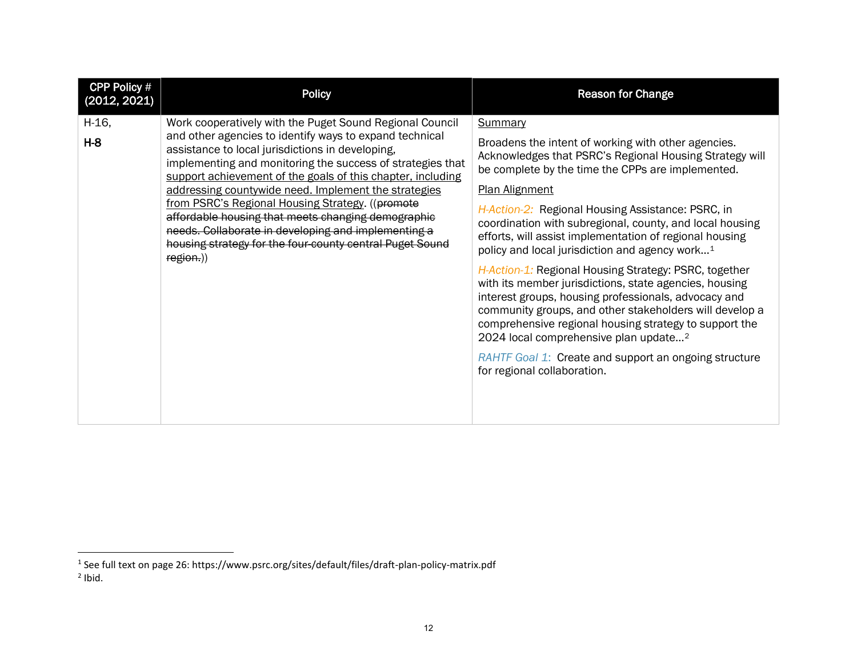<span id="page-11-1"></span><span id="page-11-0"></span>

| CPP Policy #<br>(2012, 2021) | <b>Policy</b>                                                                                                                                                                                                                                                                                                                                                                                                                                                                                                                                                                                           | <b>Reason for Change</b>                                                                                                                                                                                                                                                                                                                                                                                                                                                                                                                                                                                                                                                                                                                                                                                                                                                                              |
|------------------------------|---------------------------------------------------------------------------------------------------------------------------------------------------------------------------------------------------------------------------------------------------------------------------------------------------------------------------------------------------------------------------------------------------------------------------------------------------------------------------------------------------------------------------------------------------------------------------------------------------------|-------------------------------------------------------------------------------------------------------------------------------------------------------------------------------------------------------------------------------------------------------------------------------------------------------------------------------------------------------------------------------------------------------------------------------------------------------------------------------------------------------------------------------------------------------------------------------------------------------------------------------------------------------------------------------------------------------------------------------------------------------------------------------------------------------------------------------------------------------------------------------------------------------|
| $H-16,$<br>$H - 8$           | Work cooperatively with the Puget Sound Regional Council<br>and other agencies to identify ways to expand technical<br>assistance to local jurisdictions in developing,<br>implementing and monitoring the success of strategies that<br>support achievement of the goals of this chapter, including<br>addressing countywide need. Implement the strategies<br>from PSRC's Regional Housing Strategy. ((promote)<br>affordable housing that meets changing demographic<br>needs. Collaborate in developing and implementing a<br>housing strategy for the four county central Puget Sound<br>region.)) | <b>Summary</b><br>Broadens the intent of working with other agencies.<br>Acknowledges that PSRC's Regional Housing Strategy will<br>be complete by the time the CPPs are implemented.<br><b>Plan Alignment</b><br>H-Action-2: Regional Housing Assistance: PSRC, in<br>coordination with subregional, county, and local housing<br>efforts, will assist implementation of regional housing<br>policy and local jurisdiction and agency work <sup>1</sup><br>H-Action-1: Regional Housing Strategy: PSRC, together<br>with its member jurisdictions, state agencies, housing<br>interest groups, housing professionals, advocacy and<br>community groups, and other stakeholders will develop a<br>comprehensive regional housing strategy to support the<br>2024 local comprehensive plan update <sup>2</sup><br>RAHTF Goal 1: Create and support an ongoing structure<br>for regional collaboration. |

 $^1$  See full text on page 26: https://www.psrc.org/sites/default/files/draft-plan-policy-matrix.pdf  $<sup>2</sup>$  Ibid.</sup>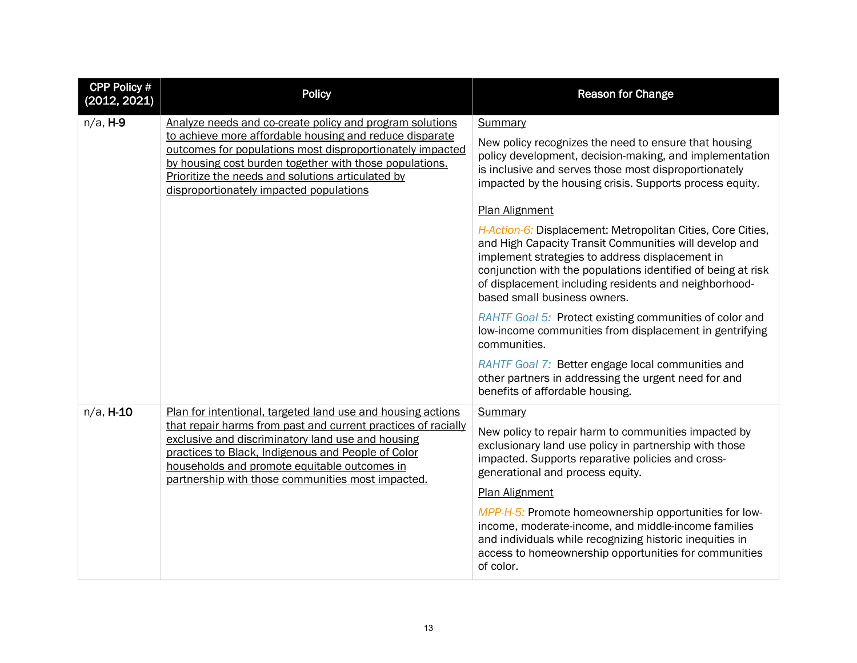| <b>CPP Policy #</b><br>(2012, 2021) | <b>Policy</b>                                                                                                                                                                                                                                                                                                                               | <b>Reason for Change</b>                                                                                                                                                                                                                                                                                                          |
|-------------------------------------|---------------------------------------------------------------------------------------------------------------------------------------------------------------------------------------------------------------------------------------------------------------------------------------------------------------------------------------------|-----------------------------------------------------------------------------------------------------------------------------------------------------------------------------------------------------------------------------------------------------------------------------------------------------------------------------------|
| $n/a$ , H-9                         | Analyze needs and co-create policy and program solutions<br>to achieve more affordable housing and reduce disparate<br>outcomes for populations most disproportionately impacted<br>by housing cost burden together with those populations.<br>Prioritize the needs and solutions articulated by<br>disproportionately impacted populations | Summary<br>New policy recognizes the need to ensure that housing<br>policy development, decision-making, and implementation<br>is inclusive and serves those most disproportionately<br>impacted by the housing crisis. Supports process equity.                                                                                  |
|                                     |                                                                                                                                                                                                                                                                                                                                             | Plan Alignment                                                                                                                                                                                                                                                                                                                    |
|                                     |                                                                                                                                                                                                                                                                                                                                             | H-Action-6: Displacement: Metropolitan Cities, Core Cities,<br>and High Capacity Transit Communities will develop and<br>implement strategies to address displacement in<br>conjunction with the populations identified of being at risk<br>of displacement including residents and neighborhood-<br>based small business owners. |
|                                     |                                                                                                                                                                                                                                                                                                                                             | RAHTF Goal 5: Protect existing communities of color and<br>low-income communities from displacement in gentrifying<br>communities.                                                                                                                                                                                                |
|                                     |                                                                                                                                                                                                                                                                                                                                             | RAHTF Goal 7: Better engage local communities and<br>other partners in addressing the urgent need for and<br>benefits of affordable housing.                                                                                                                                                                                      |
| n/a, H-10                           | Plan for intentional, targeted land use and housing actions                                                                                                                                                                                                                                                                                 | Summary                                                                                                                                                                                                                                                                                                                           |
|                                     | that repair harms from past and current practices of racially<br>exclusive and discriminatory land use and housing<br>practices to Black, Indigenous and People of Color<br>households and promote equitable outcomes in<br>partnership with those communities most impacted.                                                               | New policy to repair harm to communities impacted by<br>exclusionary land use policy in partnership with those<br>impacted. Supports reparative policies and cross-<br>generational and process equity.                                                                                                                           |
|                                     |                                                                                                                                                                                                                                                                                                                                             | <b>Plan Alignment</b>                                                                                                                                                                                                                                                                                                             |
|                                     |                                                                                                                                                                                                                                                                                                                                             | MPP-H-5: Promote homeownership opportunities for low-<br>income, moderate-income, and middle-income families<br>and individuals while recognizing historic inequities in<br>access to homeownership opportunities for communities<br>of color.                                                                                    |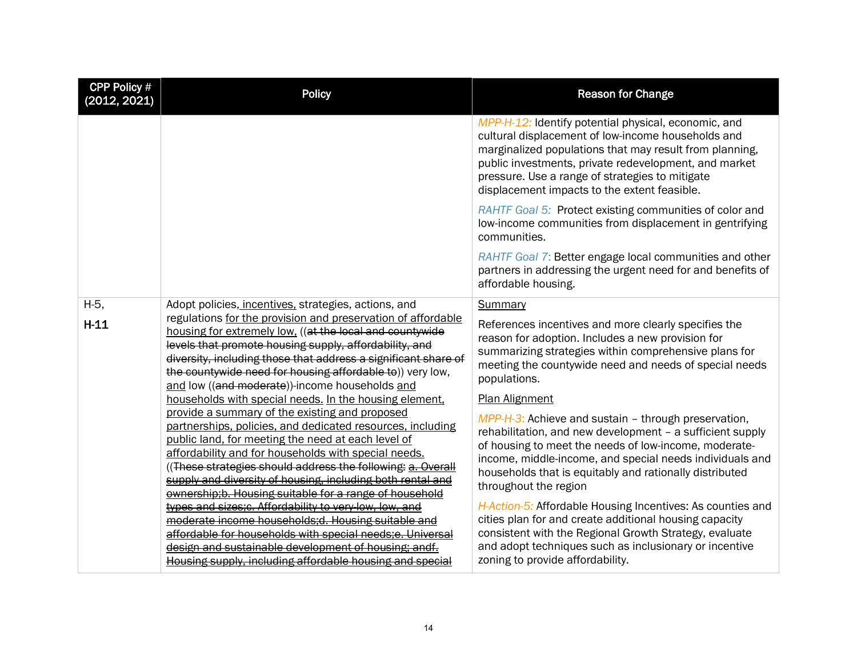| <b>CPP Policy #</b><br>(2012, 2021) | <b>Policy</b>                                                                                                                                                                                                                                                                                                                                                                                                                                                                                                                                                                                                                                                                                                                                                                                                                                                                                                                                                                                                                                                                             | <b>Reason for Change</b>                                                                                                                                                                                                                                                                                                                                                                                                                                                                                                                                                                                                                                                                                                                                                                  |  |
|-------------------------------------|-------------------------------------------------------------------------------------------------------------------------------------------------------------------------------------------------------------------------------------------------------------------------------------------------------------------------------------------------------------------------------------------------------------------------------------------------------------------------------------------------------------------------------------------------------------------------------------------------------------------------------------------------------------------------------------------------------------------------------------------------------------------------------------------------------------------------------------------------------------------------------------------------------------------------------------------------------------------------------------------------------------------------------------------------------------------------------------------|-------------------------------------------------------------------------------------------------------------------------------------------------------------------------------------------------------------------------------------------------------------------------------------------------------------------------------------------------------------------------------------------------------------------------------------------------------------------------------------------------------------------------------------------------------------------------------------------------------------------------------------------------------------------------------------------------------------------------------------------------------------------------------------------|--|
|                                     |                                                                                                                                                                                                                                                                                                                                                                                                                                                                                                                                                                                                                                                                                                                                                                                                                                                                                                                                                                                                                                                                                           | MPP-H-12: Identify potential physical, economic, and<br>cultural displacement of low-income households and<br>marginalized populations that may result from planning,<br>public investments, private redevelopment, and market<br>pressure. Use a range of strategies to mitigate<br>displacement impacts to the extent feasible.                                                                                                                                                                                                                                                                                                                                                                                                                                                         |  |
|                                     |                                                                                                                                                                                                                                                                                                                                                                                                                                                                                                                                                                                                                                                                                                                                                                                                                                                                                                                                                                                                                                                                                           | RAHTF Goal 5: Protect existing communities of color and<br>low-income communities from displacement in gentrifying<br>communities.                                                                                                                                                                                                                                                                                                                                                                                                                                                                                                                                                                                                                                                        |  |
|                                     |                                                                                                                                                                                                                                                                                                                                                                                                                                                                                                                                                                                                                                                                                                                                                                                                                                                                                                                                                                                                                                                                                           | RAHTF Goal 7: Better engage local communities and other<br>partners in addressing the urgent need for and benefits of<br>affordable housing.                                                                                                                                                                                                                                                                                                                                                                                                                                                                                                                                                                                                                                              |  |
| H-5,<br>$H-11$                      | Adopt policies, incentives, strategies, actions, and<br>regulations for the provision and preservation of affordable<br>housing for extremely low, ((at the local and countywide<br>levels that promote housing supply, affordability, and<br>diversity, including those that address a significant share of<br>the countywide need for housing affordable to)) very low,<br>and low ((and moderate))-income households and<br>households with special needs. In the housing element,<br>provide a summary of the existing and proposed<br>partnerships, policies, and dedicated resources, including<br>public land, for meeting the need at each level of<br>affordability and for households with special needs.<br>((These strategies should address the following: a. Overall<br>supply and diversity of housing, including both rental and<br>ownership;b. Housing suitable for a range of household<br>types and sizes; c. Affordability to very low, low, and<br>moderate income households; d. Housing suitable and<br>affordable for households with special needs;e. Universal | Summary<br>References incentives and more clearly specifies the<br>reason for adoption. Includes a new provision for<br>summarizing strategies within comprehensive plans for<br>meeting the countywide need and needs of special needs<br>populations.<br>Plan Alignment<br>MPP-H-3: Achieve and sustain - through preservation,<br>rehabilitation, and new development - a sufficient supply<br>of housing to meet the needs of low-income, moderate-<br>income, middle-income, and special needs individuals and<br>households that is equitably and rationally distributed<br>throughout the region<br>H-Action-5: Affordable Housing Incentives: As counties and<br>cities plan for and create additional housing capacity<br>consistent with the Regional Growth Strategy, evaluate |  |
|                                     | design and sustainable development of housing; andf.<br>Housing supply, including affordable housing and special                                                                                                                                                                                                                                                                                                                                                                                                                                                                                                                                                                                                                                                                                                                                                                                                                                                                                                                                                                          | and adopt techniques such as inclusionary or incentive<br>zoning to provide affordability.                                                                                                                                                                                                                                                                                                                                                                                                                                                                                                                                                                                                                                                                                                |  |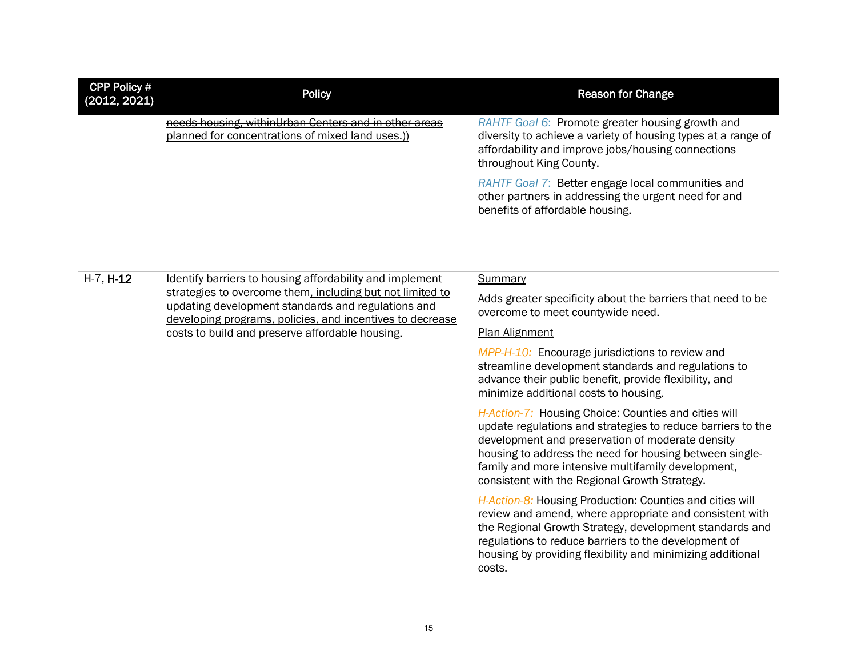| <b>CPP Policy #</b><br>(2012, 2021) | <b>Policy</b>                                                                                                                                                                                                                                                                               | <b>Reason for Change</b>                                                                                                                                                                                                                                                                                                                                                                                                                                                                                                                                                                                                                                                                                                                                                                                                                                                                                                                                                                               |  |
|-------------------------------------|---------------------------------------------------------------------------------------------------------------------------------------------------------------------------------------------------------------------------------------------------------------------------------------------|--------------------------------------------------------------------------------------------------------------------------------------------------------------------------------------------------------------------------------------------------------------------------------------------------------------------------------------------------------------------------------------------------------------------------------------------------------------------------------------------------------------------------------------------------------------------------------------------------------------------------------------------------------------------------------------------------------------------------------------------------------------------------------------------------------------------------------------------------------------------------------------------------------------------------------------------------------------------------------------------------------|--|
|                                     | needs housing, withinUrban Centers and in other areas<br>planned for concentrations of mixed land uses.))                                                                                                                                                                                   | RAHTF Goal 6: Promote greater housing growth and<br>diversity to achieve a variety of housing types at a range of<br>affordability and improve jobs/housing connections<br>throughout King County.<br>RAHTF Goal 7: Better engage local communities and<br>other partners in addressing the urgent need for and<br>benefits of affordable housing.                                                                                                                                                                                                                                                                                                                                                                                                                                                                                                                                                                                                                                                     |  |
| $H-7, H-12$                         | Identify barriers to housing affordability and implement<br>strategies to overcome them, including but not limited to<br>updating development standards and regulations and<br>developing programs, policies, and incentives to decrease<br>costs to build and preserve affordable housing. | Summary<br>Adds greater specificity about the barriers that need to be<br>overcome to meet countywide need.<br><b>Plan Alignment</b><br>MPP-H-10: Encourage jurisdictions to review and<br>streamline development standards and regulations to<br>advance their public benefit, provide flexibility, and<br>minimize additional costs to housing.<br>H-Action-7: Housing Choice: Counties and cities will<br>update regulations and strategies to reduce barriers to the<br>development and preservation of moderate density<br>housing to address the need for housing between single-<br>family and more intensive multifamily development,<br>consistent with the Regional Growth Strategy.<br>H-Action-8: Housing Production: Counties and cities will<br>review and amend, where appropriate and consistent with<br>the Regional Growth Strategy, development standards and<br>regulations to reduce barriers to the development of<br>housing by providing flexibility and minimizing additional |  |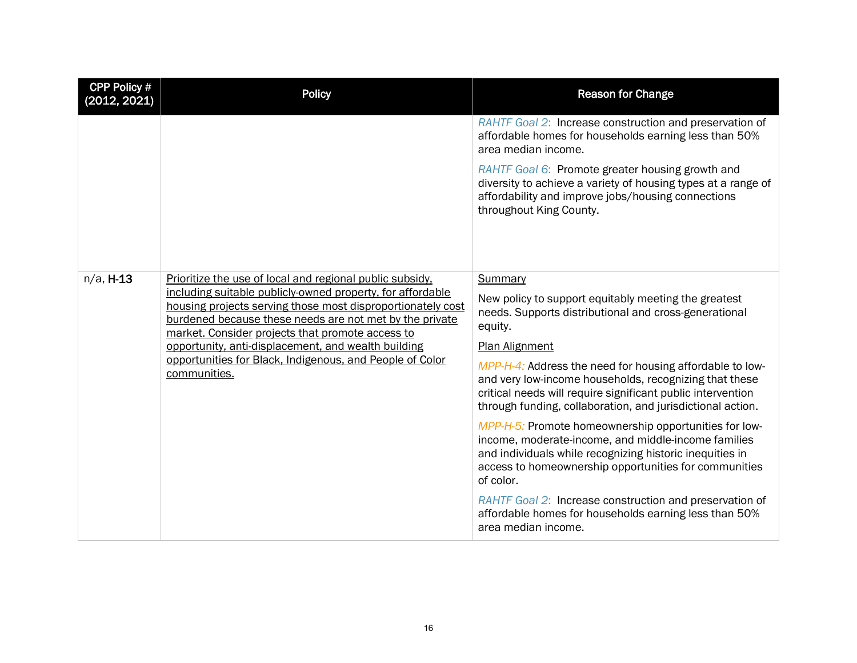| <b>CPP Policy #</b><br>(2012, 2021) | <b>Policy</b>                                                                                                                                                                                                                            | <b>Reason for Change</b>                                                                                                                                                                                                                        |
|-------------------------------------|------------------------------------------------------------------------------------------------------------------------------------------------------------------------------------------------------------------------------------------|-------------------------------------------------------------------------------------------------------------------------------------------------------------------------------------------------------------------------------------------------|
|                                     |                                                                                                                                                                                                                                          | RAHTF Goal 2: Increase construction and preservation of<br>affordable homes for households earning less than 50%<br>area median income.                                                                                                         |
|                                     |                                                                                                                                                                                                                                          | RAHTF Goal 6: Promote greater housing growth and<br>diversity to achieve a variety of housing types at a range of<br>affordability and improve jobs/housing connections<br>throughout King County.                                              |
| $n/a$ , $H-13$                      | Prioritize the use of local and regional public subsidy.                                                                                                                                                                                 | Summary                                                                                                                                                                                                                                         |
|                                     | including suitable publicly-owned property, for affordable<br>housing projects serving those most disproportionately cost<br>burdened because these needs are not met by the private<br>market. Consider projects that promote access to | New policy to support equitably meeting the greatest<br>needs. Supports distributional and cross-generational<br>equity.                                                                                                                        |
|                                     | opportunity, anti-displacement, and wealth building                                                                                                                                                                                      | <b>Plan Alignment</b>                                                                                                                                                                                                                           |
|                                     | opportunities for Black, Indigenous, and People of Color<br>communities.                                                                                                                                                                 | MPP-H-4: Address the need for housing affordable to low-<br>and very low-income households, recognizing that these<br>critical needs will require significant public intervention<br>through funding, collaboration, and jurisdictional action. |
|                                     |                                                                                                                                                                                                                                          | MPP-H-5: Promote homeownership opportunities for low-<br>income, moderate-income, and middle-income families<br>and individuals while recognizing historic inequities in<br>access to homeownership opportunities for communities<br>of color.  |
|                                     |                                                                                                                                                                                                                                          | RAHTF Goal 2: Increase construction and preservation of<br>affordable homes for households earning less than 50%<br>area median income.                                                                                                         |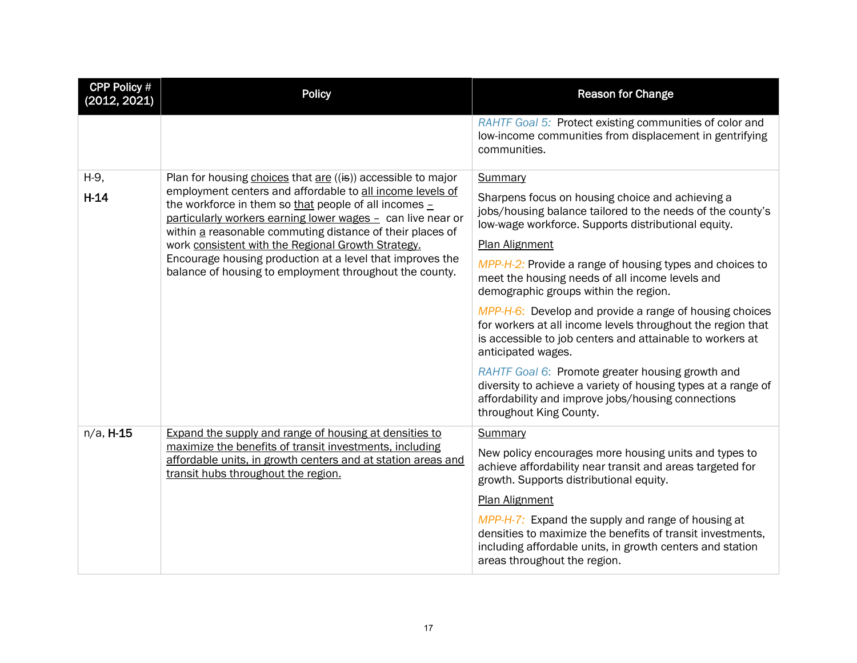| <b>CPP Policy #</b><br>(2012, 2021) | <b>Policy</b>                                                                                                                                                                                                                                                                                                                                                                                                                                                                                    | <b>Reason for Change</b>                                                                                                                                                                                                                                                                                                                                                                                                                                                                    |  |
|-------------------------------------|--------------------------------------------------------------------------------------------------------------------------------------------------------------------------------------------------------------------------------------------------------------------------------------------------------------------------------------------------------------------------------------------------------------------------------------------------------------------------------------------------|---------------------------------------------------------------------------------------------------------------------------------------------------------------------------------------------------------------------------------------------------------------------------------------------------------------------------------------------------------------------------------------------------------------------------------------------------------------------------------------------|--|
|                                     |                                                                                                                                                                                                                                                                                                                                                                                                                                                                                                  | RAHTF Goal 5: Protect existing communities of color and<br>low-income communities from displacement in gentrifying<br>communities.                                                                                                                                                                                                                                                                                                                                                          |  |
| H-9,<br>$H-14$                      | Plan for housing choices that $are$ ((is)) accessible to major<br>employment centers and affordable to all income levels of<br>the workforce in them so that people of all incomes $-$<br>particularly workers earning lower wages - can live near or<br>within a reasonable commuting distance of their places of<br>work consistent with the Regional Growth Strategy.<br>Encourage housing production at a level that improves the<br>balance of housing to employment throughout the county. | <b>Summary</b><br>Sharpens focus on housing choice and achieving a<br>jobs/housing balance tailored to the needs of the county's<br>low-wage workforce. Supports distributional equity.<br>Plan Alignment<br>MPP-H-2: Provide a range of housing types and choices to<br>meet the housing needs of all income levels and<br>demographic groups within the region.<br>MPP-H-6: Develop and provide a range of housing choices<br>for workers at all income levels throughout the region that |  |
|                                     |                                                                                                                                                                                                                                                                                                                                                                                                                                                                                                  | is accessible to job centers and attainable to workers at<br>anticipated wages.<br>RAHTF Goal 6: Promote greater housing growth and<br>diversity to achieve a variety of housing types at a range of<br>affordability and improve jobs/housing connections<br>throughout King County.                                                                                                                                                                                                       |  |
| $n/a$ , H-15                        | Expand the supply and range of housing at densities to<br>maximize the benefits of transit investments, including<br>affordable units, in growth centers and at station areas and<br>transit hubs throughout the region.                                                                                                                                                                                                                                                                         | Summary<br>New policy encourages more housing units and types to<br>achieve affordability near transit and areas targeted for<br>growth. Supports distributional equity.<br>Plan Alignment<br>MPP-H-7: Expand the supply and range of housing at<br>densities to maximize the benefits of transit investments,<br>including affordable units, in growth centers and station<br>areas throughout the region.                                                                                 |  |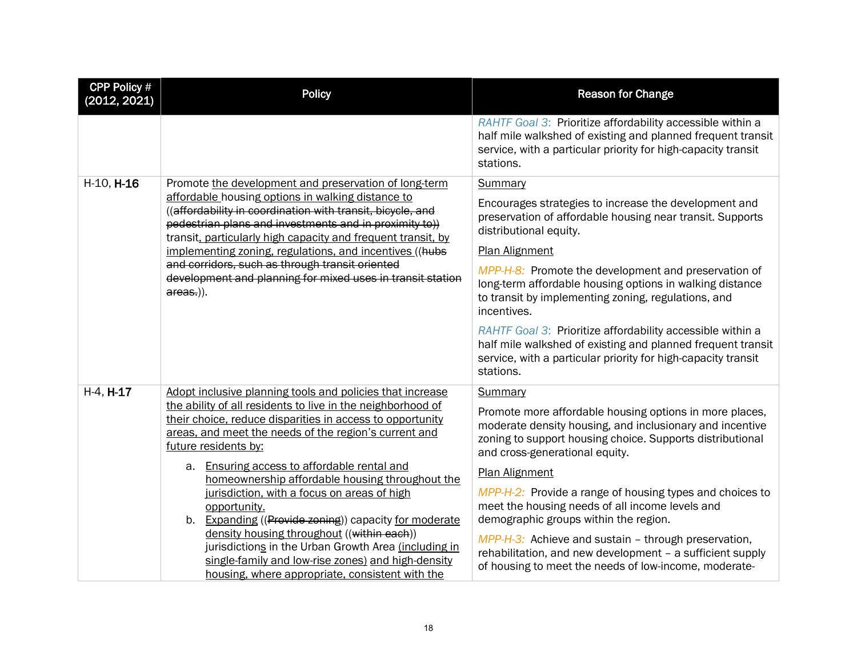| <b>CPP Policy #</b><br>(2012, 2021) | <b>Policy</b>                                                                                                                                                                                                                             | <b>Reason for Change</b>                                                                                                                                                                                           |  |
|-------------------------------------|-------------------------------------------------------------------------------------------------------------------------------------------------------------------------------------------------------------------------------------------|--------------------------------------------------------------------------------------------------------------------------------------------------------------------------------------------------------------------|--|
|                                     |                                                                                                                                                                                                                                           | RAHTF Goal 3: Prioritize affordability accessible within a<br>half mile walkshed of existing and planned frequent transit<br>service, with a particular priority for high-capacity transit<br>stations.            |  |
| H-10, H-16                          | Promote the development and preservation of long-term                                                                                                                                                                                     | Summary                                                                                                                                                                                                            |  |
|                                     | affordable housing options in walking distance to<br>((affordability in coordination with transit, bicycle, and<br>pedestrian plans and investments and in proximity to))<br>transit, particularly high capacity and frequent transit, by | Encourages strategies to increase the development and<br>preservation of affordable housing near transit. Supports<br>distributional equity.                                                                       |  |
|                                     | implementing zoning, regulations, and incentives ((hubs                                                                                                                                                                                   | <b>Plan Alignment</b>                                                                                                                                                                                              |  |
|                                     | and corridors, such as through transit oriented<br>development and planning for mixed uses in transit station<br>areas.)).                                                                                                                | MPP-H-8: Promote the development and preservation of<br>long-term affordable housing options in walking distance<br>to transit by implementing zoning, regulations, and<br>incentives.                             |  |
|                                     |                                                                                                                                                                                                                                           | RAHTF Goal 3: Prioritize affordability accessible within a<br>half mile walkshed of existing and planned frequent transit<br>service, with a particular priority for high-capacity transit<br>stations.            |  |
| H-4, H-17                           | Adopt inclusive planning tools and policies that increase                                                                                                                                                                                 | Summary                                                                                                                                                                                                            |  |
|                                     | the ability of all residents to live in the neighborhood of<br>their choice, reduce disparities in access to opportunity<br>areas, and meet the needs of the region's current and<br>future residents by:                                 | Promote more affordable housing options in more places,<br>moderate density housing, and inclusionary and incentive<br>zoning to support housing choice. Supports distributional<br>and cross-generational equity. |  |
|                                     | a. Ensuring access to affordable rental and<br>homeownership affordable housing throughout the                                                                                                                                            | <b>Plan Alignment</b>                                                                                                                                                                                              |  |
|                                     | jurisdiction, with a focus on areas of high<br>opportunity.<br>b. Expanding ((Provide zoning)) capacity for moderate                                                                                                                      | MPP-H-2: Provide a range of housing types and choices to<br>meet the housing needs of all income levels and<br>demographic groups within the region.                                                               |  |
|                                     | density housing throughout ((within each))<br>jurisdictions in the Urban Growth Area (including in<br>single-family and low-rise zones) and high-density<br>housing, where appropriate, consistent with the                               | MPP-H-3: Achieve and sustain – through preservation,<br>rehabilitation, and new development - a sufficient supply<br>of housing to meet the needs of low-income, moderate-                                         |  |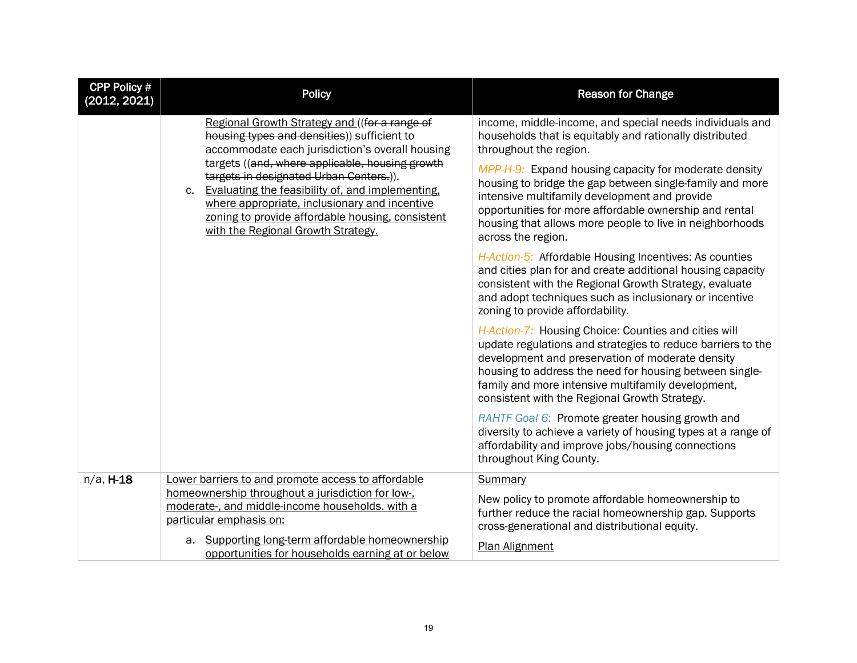| CPP Policy #<br>(2012, 2021) | <b>Policy</b>                                                                                                                                                                                                                                                                                                                                                                                                                                               | <b>Reason for Change</b>                                                                                                                                                                                                                                                                                                                                                                                                                                                                                                                                                                                                                                                                                                                        |  |
|------------------------------|-------------------------------------------------------------------------------------------------------------------------------------------------------------------------------------------------------------------------------------------------------------------------------------------------------------------------------------------------------------------------------------------------------------------------------------------------------------|-------------------------------------------------------------------------------------------------------------------------------------------------------------------------------------------------------------------------------------------------------------------------------------------------------------------------------------------------------------------------------------------------------------------------------------------------------------------------------------------------------------------------------------------------------------------------------------------------------------------------------------------------------------------------------------------------------------------------------------------------|--|
|                              | Regional Growth Strategy and ((for a range of<br>housing types and densities)) sufficient to<br>accommodate each jurisdiction's overall housing<br>targets ((and, where applicable, housing growth<br>targets in designated Urban Centers.)).<br>Evaluating the feasibility of, and implementing,<br>$c_{\cdot}$<br>where appropriate, inclusionary and incentive<br>zoning to provide affordable housing, consistent<br>with the Regional Growth Strategy. | income, middle-income, and special needs individuals and<br>households that is equitably and rationally distributed<br>throughout the region.<br>MPP-H-9: Expand housing capacity for moderate density<br>housing to bridge the gap between single-family and more<br>intensive multifamily development and provide<br>opportunities for more affordable ownership and rental<br>housing that allows more people to live in neighborhoods<br>across the region.<br>H-Action-5: Affordable Housing Incentives: As counties<br>and cities plan for and create additional housing capacity<br>consistent with the Regional Growth Strategy, evaluate<br>and adopt techniques such as inclusionary or incentive<br>zoning to provide affordability. |  |
|                              |                                                                                                                                                                                                                                                                                                                                                                                                                                                             | H-Action-7: Housing Choice: Counties and cities will<br>update regulations and strategies to reduce barriers to the<br>development and preservation of moderate density<br>housing to address the need for housing between single-<br>family and more intensive multifamily development,<br>consistent with the Regional Growth Strategy.<br>RAHTF Goal 6: Promote greater housing growth and<br>diversity to achieve a variety of housing types at a range of                                                                                                                                                                                                                                                                                  |  |
|                              |                                                                                                                                                                                                                                                                                                                                                                                                                                                             | affordability and improve jobs/housing connections<br>throughout King County.                                                                                                                                                                                                                                                                                                                                                                                                                                                                                                                                                                                                                                                                   |  |
| $n/a$ , $H-18$               | Lower barriers to and promote access to affordable<br>homeownership throughout a jurisdiction for low-,<br>moderate-, and middle-income households. with a<br>particular emphasis on:                                                                                                                                                                                                                                                                       | Summary<br>New policy to promote affordable homeownership to<br>further reduce the racial homeownership gap. Supports<br>cross-generational and distributional equity.                                                                                                                                                                                                                                                                                                                                                                                                                                                                                                                                                                          |  |
|                              | a. Supporting long-term affordable homeownership<br>opportunities for households earning at or below                                                                                                                                                                                                                                                                                                                                                        | Plan Alignment                                                                                                                                                                                                                                                                                                                                                                                                                                                                                                                                                                                                                                                                                                                                  |  |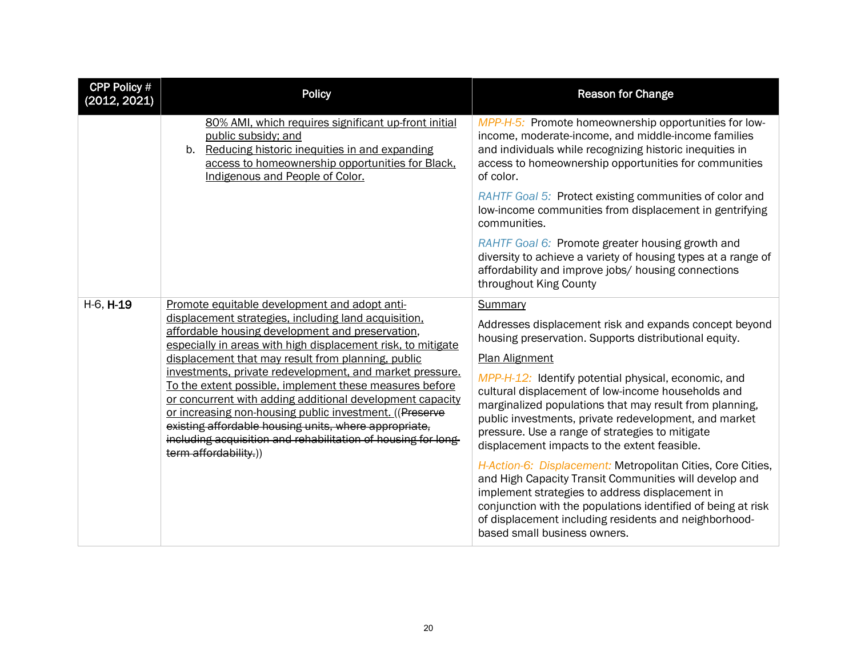| <b>CPP Policy #</b><br>(2012, 2021) | <b>Policy</b>                                                                                                                                                                                                                                                                                                                                                                                  | <b>Reason for Change</b>                                                                                                                                                                                                                                                                                                          |  |
|-------------------------------------|------------------------------------------------------------------------------------------------------------------------------------------------------------------------------------------------------------------------------------------------------------------------------------------------------------------------------------------------------------------------------------------------|-----------------------------------------------------------------------------------------------------------------------------------------------------------------------------------------------------------------------------------------------------------------------------------------------------------------------------------|--|
|                                     | 80% AMI, which requires significant up-front initial<br>public subsidy; and<br>Reducing historic inequities in and expanding<br>$b_{-}$<br>access to homeownership opportunities for Black,<br>Indigenous and People of Color.                                                                                                                                                                 | MPP-H-5: Promote homeownership opportunities for low-<br>income, moderate-income, and middle-income families<br>and individuals while recognizing historic inequities in<br>access to homeownership opportunities for communities<br>of color.                                                                                    |  |
|                                     |                                                                                                                                                                                                                                                                                                                                                                                                | RAHTF Goal 5: Protect existing communities of color and<br>low-income communities from displacement in gentrifying<br>communities.                                                                                                                                                                                                |  |
|                                     |                                                                                                                                                                                                                                                                                                                                                                                                | RAHTF Goal 6: Promote greater housing growth and<br>diversity to achieve a variety of housing types at a range of<br>affordability and improve jobs/ housing connections<br>throughout King County                                                                                                                                |  |
| H-6, H-19                           | Promote equitable development and adopt anti-                                                                                                                                                                                                                                                                                                                                                  | Summary                                                                                                                                                                                                                                                                                                                           |  |
|                                     | displacement strategies, including land acquisition,<br>affordable housing development and preservation,<br>especially in areas with high displacement risk, to mitigate                                                                                                                                                                                                                       | Addresses displacement risk and expands concept beyond<br>housing preservation. Supports distributional equity.                                                                                                                                                                                                                   |  |
|                                     | displacement that may result from planning, public                                                                                                                                                                                                                                                                                                                                             | <b>Plan Alignment</b>                                                                                                                                                                                                                                                                                                             |  |
|                                     | investments, private redevelopment, and market pressure.<br>To the extent possible, implement these measures before<br>or concurrent with adding additional development capacity<br>or increasing non-housing public investment. ((Preserve<br>existing affordable housing units, where appropriate,<br>including acquisition and rehabilitation of housing for long-<br>term affordability.)) | MPP-H-12: Identify potential physical, economic, and<br>cultural displacement of low-income households and<br>marginalized populations that may result from planning,<br>public investments, private redevelopment, and market<br>pressure. Use a range of strategies to mitigate<br>displacement impacts to the extent feasible. |  |
|                                     |                                                                                                                                                                                                                                                                                                                                                                                                | H-Action-6: Displacement: Metropolitan Cities, Core Cities,<br>and High Capacity Transit Communities will develop and<br>implement strategies to address displacement in<br>conjunction with the populations identified of being at risk<br>of displacement including residents and neighborhood-<br>based small business owners. |  |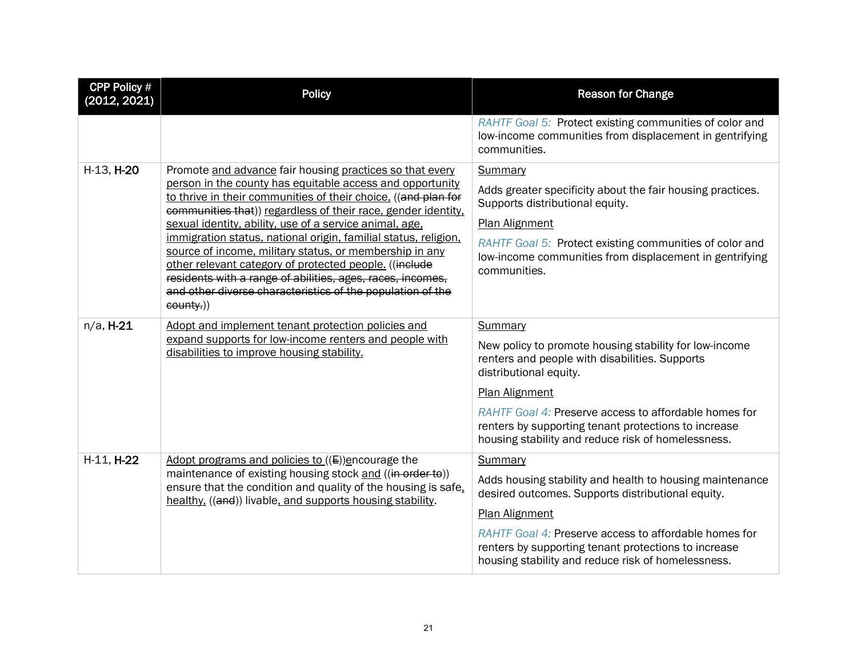| <b>CPP Policy #</b><br>(2012, 2021) | <b>Policy</b>                                                                                                                                                                                                                                                                                                                                                                                                                                                                                                                                                                                                                                        | <b>Reason for Change</b>                                                                                                                                                                                                                                                                                                                      |  |
|-------------------------------------|------------------------------------------------------------------------------------------------------------------------------------------------------------------------------------------------------------------------------------------------------------------------------------------------------------------------------------------------------------------------------------------------------------------------------------------------------------------------------------------------------------------------------------------------------------------------------------------------------------------------------------------------------|-----------------------------------------------------------------------------------------------------------------------------------------------------------------------------------------------------------------------------------------------------------------------------------------------------------------------------------------------|--|
|                                     |                                                                                                                                                                                                                                                                                                                                                                                                                                                                                                                                                                                                                                                      | RAHTF Goal 5: Protect existing communities of color and<br>low-income communities from displacement in gentrifying<br>communities.                                                                                                                                                                                                            |  |
| H-13, H-20                          | Promote and advance fair housing practices so that every<br>person in the county has equitable access and opportunity<br>to thrive in their communities of their choice. ((and plan for<br>communities that)) regardless of their race, gender identity,<br>sexual identity, ability, use of a service animal, age,<br>immigration status, national origin, familial status, religion,<br>source of income, military status, or membership in any<br>other relevant category of protected people. ((include<br>residents with a range of abilities, ages, races, incomes,<br>and other diverse characteristics of the population of the<br>county.)) | Summary<br>Adds greater specificity about the fair housing practices.<br>Supports distributional equity.<br><b>Plan Alignment</b><br>RAHTF Goal 5: Protect existing communities of color and<br>low-income communities from displacement in gentrifying<br>communities.                                                                       |  |
| $n/a$ , H-21                        | Adopt and implement tenant protection policies and<br>expand supports for low-income renters and people with<br>disabilities to improve housing stability.                                                                                                                                                                                                                                                                                                                                                                                                                                                                                           | Summary<br>New policy to promote housing stability for low-income<br>renters and people with disabilities. Supports<br>distributional equity.<br><b>Plan Alignment</b><br>RAHTF Goal 4: Preserve access to affordable homes for<br>renters by supporting tenant protections to increase<br>housing stability and reduce risk of homelessness. |  |
| H-11, H-22                          | Adopt programs and policies to $((E))$ encourage the<br>maintenance of existing housing stock and ((in order to))<br>ensure that the condition and quality of the housing is safe.<br>healthy. ((and)) livable, and supports housing stability.                                                                                                                                                                                                                                                                                                                                                                                                      | Summary<br>Adds housing stability and health to housing maintenance<br>desired outcomes. Supports distributional equity.<br><b>Plan Alignment</b><br>RAHTF Goal 4: Preserve access to affordable homes for<br>renters by supporting tenant protections to increase<br>housing stability and reduce risk of homelessness.                      |  |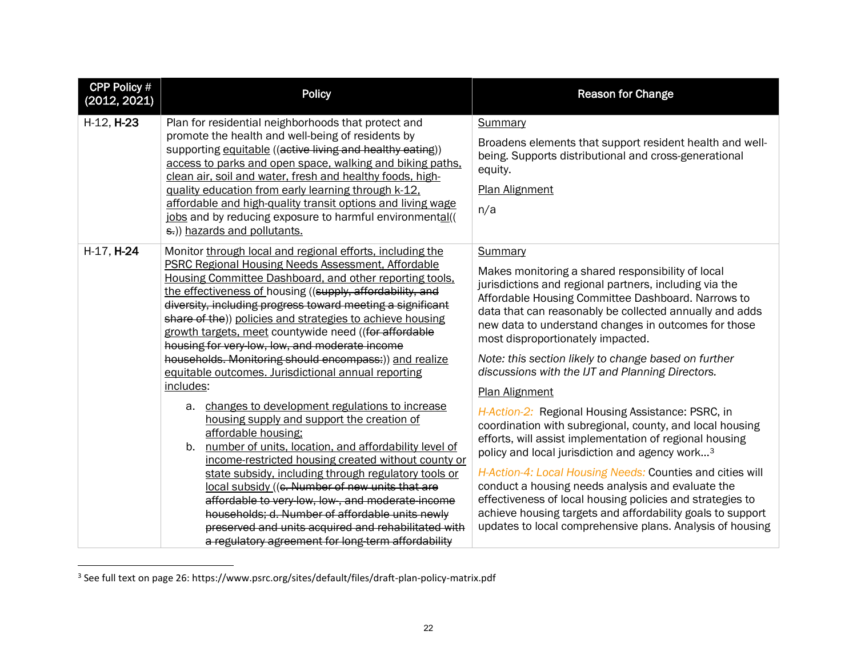<span id="page-21-0"></span>

| <b>CPP Policy #</b><br>(2012, 2021) | <b>Policy</b>                                                                                                                                                                                                                                                                                                                                                                                                                                                                                                                                                                                                                                                                                                                                                                                                                                                                                                                                                                                                                                                                                                                                                                     | <b>Reason for Change</b>                                                                                                                                                                                                                                                                                                                                                                                                                                                                                                                                                                                                                                                                                                                                                                                                                                                                                                                                                                                                      |
|-------------------------------------|-----------------------------------------------------------------------------------------------------------------------------------------------------------------------------------------------------------------------------------------------------------------------------------------------------------------------------------------------------------------------------------------------------------------------------------------------------------------------------------------------------------------------------------------------------------------------------------------------------------------------------------------------------------------------------------------------------------------------------------------------------------------------------------------------------------------------------------------------------------------------------------------------------------------------------------------------------------------------------------------------------------------------------------------------------------------------------------------------------------------------------------------------------------------------------------|-------------------------------------------------------------------------------------------------------------------------------------------------------------------------------------------------------------------------------------------------------------------------------------------------------------------------------------------------------------------------------------------------------------------------------------------------------------------------------------------------------------------------------------------------------------------------------------------------------------------------------------------------------------------------------------------------------------------------------------------------------------------------------------------------------------------------------------------------------------------------------------------------------------------------------------------------------------------------------------------------------------------------------|
| H-12, H-23                          | Plan for residential neighborhoods that protect and<br>promote the health and well-being of residents by<br>supporting equitable ((active living and healthy eating))<br>access to parks and open space, walking and biking paths,<br>clean air, soil and water, fresh and healthy foods, high-<br>guality education from early learning through k-12.<br>affordable and high-quality transit options and living wage<br>jobs and by reducing exposure to harmful environmental((<br>s.)) hazards and pollutants.                                                                                                                                                                                                                                                                                                                                                                                                                                                                                                                                                                                                                                                                 | Summary<br>Broadens elements that support resident health and well-<br>being. Supports distributional and cross-generational<br>equity.<br>Plan Alignment<br>n/a                                                                                                                                                                                                                                                                                                                                                                                                                                                                                                                                                                                                                                                                                                                                                                                                                                                              |
| H-17, H-24<br>includes:             | Monitor through local and regional efforts, including the<br><b>PSRC Regional Housing Needs Assessment, Affordable</b><br>Housing Committee Dashboard, and other reporting tools,<br>the effectiveness of housing ((supply, affordability, and<br>diversity, including progress toward meeting a significant<br>share of the)) policies and strategies to achieve housing<br>growth targets, meet countywide need ((for affordable<br>housing for very low, low, and moderate income<br>households. Monitoring should encompass:)) and realize<br>equitable outcomes. Jurisdictional annual reporting<br>a. changes to development regulations to increase<br>housing supply and support the creation of<br>affordable housing;<br>b. number of units, location, and affordability level of<br>income-restricted housing created without county or<br>state subsidy, including through regulatory tools or<br>local subsidy ((e. Number of new units that are<br>affordable to very low, low, and moderate income<br>households; d. Number of affordable units newly<br>preserved and units acquired and rehabilitated with<br>a regulatory agreement for long-term affordability | Summary<br>Makes monitoring a shared responsibility of local<br>jurisdictions and regional partners, including via the<br>Affordable Housing Committee Dashboard. Narrows to<br>data that can reasonably be collected annually and adds<br>new data to understand changes in outcomes for those<br>most disproportionately impacted.<br>Note: this section likely to change based on further<br>discussions with the IJT and Planning Directors.<br><b>Plan Alignment</b><br>H-Action-2: Regional Housing Assistance: PSRC, in<br>coordination with subregional, county, and local housing<br>efforts, will assist implementation of regional housing<br>policy and local jurisdiction and agency work <sup>3</sup><br>H-Action-4: Local Housing Needs: Counties and cities will<br>conduct a housing needs analysis and evaluate the<br>effectiveness of local housing policies and strategies to<br>achieve housing targets and affordability goals to support<br>updates to local comprehensive plans. Analysis of housing |

<sup>3</sup> See full text on page 26: https://www.psrc.org/sites/default/files/draft-plan-policy-matrix.pdf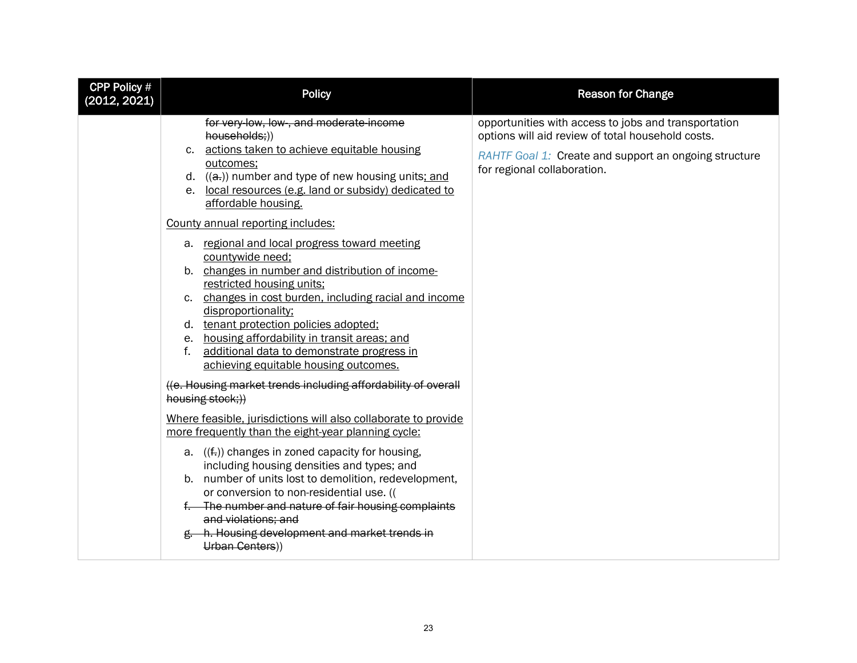| <b>CPP Policy #</b><br>(2012, 2021) | <b>Policy</b>                                                                                                                                                                                                                                                                                                                                                                                                                                                                                                                                                                                                                                                                                                                                                                                                                                                                                                                                                                                                                                                                                                                                              | <b>Reason for Change</b>                                                                                                                                                                          |
|-------------------------------------|------------------------------------------------------------------------------------------------------------------------------------------------------------------------------------------------------------------------------------------------------------------------------------------------------------------------------------------------------------------------------------------------------------------------------------------------------------------------------------------------------------------------------------------------------------------------------------------------------------------------------------------------------------------------------------------------------------------------------------------------------------------------------------------------------------------------------------------------------------------------------------------------------------------------------------------------------------------------------------------------------------------------------------------------------------------------------------------------------------------------------------------------------------|---------------------------------------------------------------------------------------------------------------------------------------------------------------------------------------------------|
|                                     | for very-low, low-, and moderate-income<br>households;))<br>c. actions taken to achieve equitable housing<br>outcomes;<br>d. $((a))$ number and type of new housing units; and<br>e. local resources (e.g. land or subsidy) dedicated to<br>affordable housing.<br>County annual reporting includes:<br>a. regional and local progress toward meeting<br>countywide need;<br>b. changes in number and distribution of income-<br>restricted housing units;<br>c. changes in cost burden, including racial and income<br>disproportionality;<br>d. tenant protection policies adopted;<br>e. housing affordability in transit areas; and<br>additional data to demonstrate progress in<br>f.<br>achieving equitable housing outcomes.<br>((e. Housing market trends including affordability of overall<br>housing stock;))<br>Where feasible, jurisdictions will also collaborate to provide<br>more frequently than the eight-year planning cycle:<br>a. $((f))$ changes in zoned capacity for housing,<br>including housing densities and types; and<br>b. number of units lost to demolition, redevelopment,<br>or conversion to non-residential use. (( | opportunities with access to jobs and transportation<br>options will aid review of total household costs.<br>RAHTF Goal 1: Create and support an ongoing structure<br>for regional collaboration. |
|                                     | f. The number and nature of fair housing complaints<br>and violations; and<br>g. h. Housing development and market trends in<br>Urban Centers))                                                                                                                                                                                                                                                                                                                                                                                                                                                                                                                                                                                                                                                                                                                                                                                                                                                                                                                                                                                                            |                                                                                                                                                                                                   |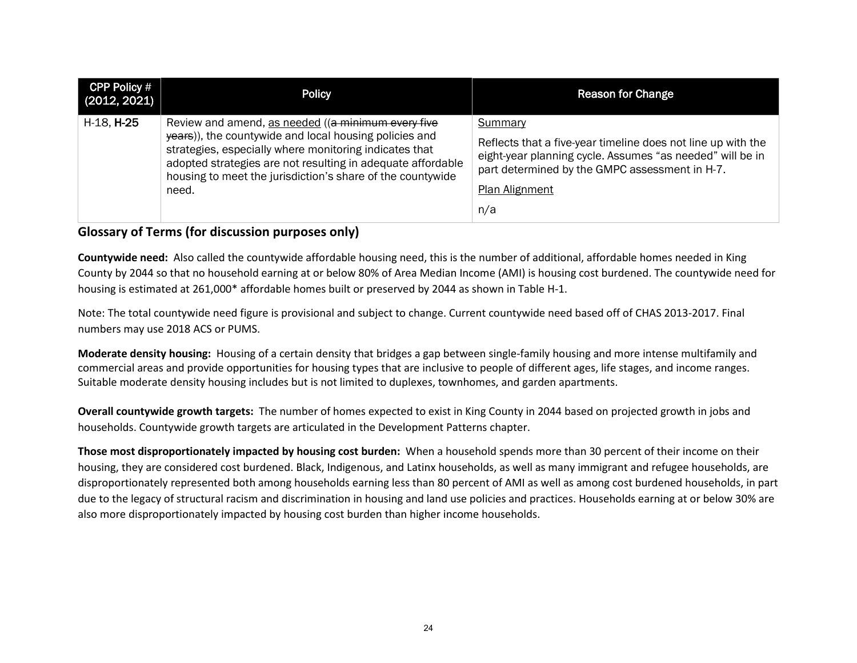| <b>CPP Policy #</b><br>(2012, 2021) | <b>Policy</b>                                                                                                                                                                                                                                                                                                | <b>Reason for Change</b>                                                                                                                                                                                        |
|-------------------------------------|--------------------------------------------------------------------------------------------------------------------------------------------------------------------------------------------------------------------------------------------------------------------------------------------------------------|-----------------------------------------------------------------------------------------------------------------------------------------------------------------------------------------------------------------|
| H-18, H-25                          | Review and amend, as needed ((a minimum every five<br>years)), the countywide and local housing policies and<br>strategies, especially where monitoring indicates that<br>adopted strategies are not resulting in adequate affordable<br>housing to meet the jurisdiction's share of the countywide<br>need. | Summary<br>Reflects that a five-year timeline does not line up with the<br>eight-year planning cycle. Assumes "as needed" will be in<br>part determined by the GMPC assessment in H-7.<br>Plan Alignment<br>n/a |

# **Glossary of Terms (for discussion purposes only)**

**Countywide need:** Also called the countywide affordable housing need, this is the number of additional, affordable homes needed in King County by 2044 so that no household earning at or below 80% of Area Median Income (AMI) is housing cost burdened. The countywide need for housing is estimated at 261,000\* affordable homes built or preserved by 2044 as shown in Table H-1.

Note: The total countywide need figure is provisional and subject to change. Current countywide need based off of CHAS 2013-2017. Final numbers may use 2018 ACS or PUMS.

**Moderate density housing:** Housing of a certain density that bridges a gap between single-family housing and more intense multifamily and commercial areas and provide opportunities for housing types that are inclusive to people of different ages, life stages, and income ranges. Suitable moderate density housing includes but is not limited to duplexes, townhomes, and garden apartments.

**Overall countywide growth targets:** The number of homes expected to exist in King County in 2044 based on projected growth in jobs and households. Countywide growth targets are articulated in the Development Patterns chapter.

**Those most disproportionately impacted by housing cost burden:** When a household spends more than 30 percent of their income on their housing, they are considered cost burdened. Black, Indigenous, and Latinx households, as well as many immigrant and refugee households, are disproportionately represented both among households earning less than 80 percent of AMI as well as among cost burdened households, in part due to the legacy of structural racism and discrimination in housing and land use policies and practices. Households earning at or below 30% are also more disproportionately impacted by housing cost burden than higher income households.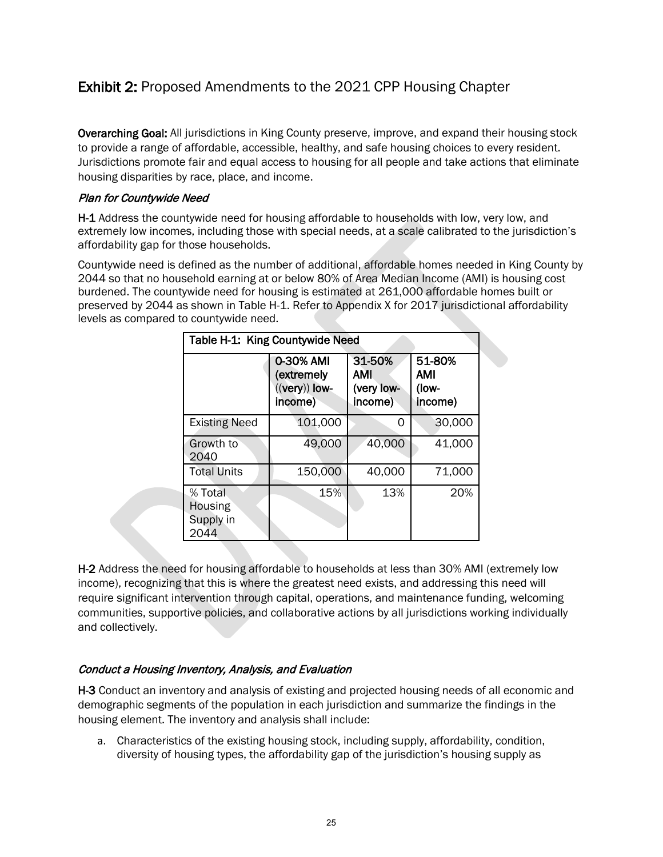# Exhibit 2: Proposed Amendments to the 2021 CPP Housing Chapter

Overarching Goal: All jurisdictions in King County preserve, improve, and expand their housing stock to provide a range of affordable, accessible, healthy, and safe housing choices to every resident. Jurisdictions promote fair and equal access to housing for all people and take actions that eliminate housing disparities by race, place, and income.

# Plan for Countywide Need

H-1 Address the countywide need for housing affordable to households with low, very low, and extremely low incomes, including those with special needs, at a scale calibrated to the jurisdiction's affordability gap for those households.

Countywide need is defined as the number of additional, affordable homes needed in King County by 2044 so that no household earning at or below 80% of Area Median Income (AMI) is housing cost burdened. The countywide need for housing is estimated at 261,000 affordable homes built or preserved by 2044 as shown in Table H-1. Refer to Appendix X for 2017 jurisdictional affordability levels as compared to countywide need.

| Table H-1: King Countywide Need         |                                                       |                                        |                                   |
|-----------------------------------------|-------------------------------------------------------|----------------------------------------|-----------------------------------|
|                                         | 0-30% AMI<br>(extremely<br>$((very))$ low-<br>income) | 31-50%<br>AMI<br>(very low-<br>income) | 51-80%<br>AMI<br>(low-<br>income) |
| <b>Existing Need</b>                    | 101,000                                               | O                                      | 30,000                            |
| Growth to<br>2040                       | 49,000                                                | 40,000                                 | 41,000                            |
| <b>Total Units</b>                      | 150,000                                               | 40,000                                 | 71,000                            |
| % Total<br>Housing<br>Supply in<br>2044 | 15%                                                   | 13%                                    | 20%                               |

H-2 Address the need for housing affordable to households at less than 30% AMI (extremely low income), recognizing that this is where the greatest need exists, and addressing this need will require significant intervention through capital, operations, and maintenance funding, welcoming communities, supportive policies, and collaborative actions by all jurisdictions working individually and collectively.

# Conduct a Housing Inventory, Analysis, and Evaluation

H-3 Conduct an inventory and analysis of existing and projected housing needs of all economic and demographic segments of the population in each jurisdiction and summarize the findings in the housing element. The inventory and analysis shall include:

a. Characteristics of the existing housing stock, including supply, affordability, condition, diversity of housing types, the affordability gap of the jurisdiction's housing supply as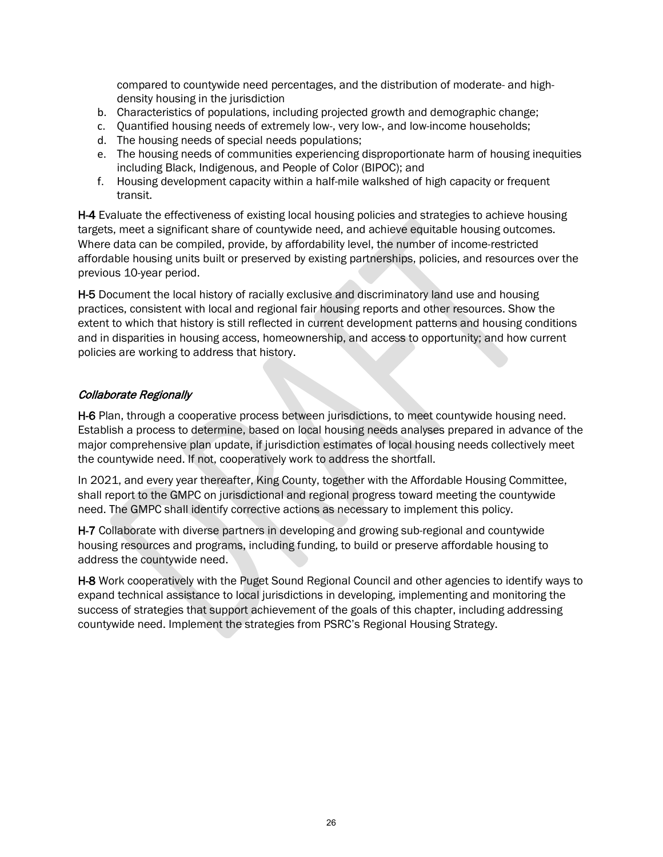compared to countywide need percentages, and the distribution of moderate- and highdensity housing in the jurisdiction

- b. Characteristics of populations, including projected growth and demographic change;
- c. Quantified housing needs of extremely low-, very low-, and low-income households;
- d. The housing needs of special needs populations;
- e. The housing needs of communities experiencing disproportionate harm of housing inequities including Black, Indigenous, and People of Color (BIPOC); and
- f. Housing development capacity within a half-mile walkshed of high capacity or frequent transit.

H-4 Evaluate the effectiveness of existing local housing policies and strategies to achieve housing targets, meet a significant share of countywide need, and achieve equitable housing outcomes. Where data can be compiled, provide, by affordability level, the number of income-restricted affordable housing units built or preserved by existing partnerships, policies, and resources over the previous 10-year period.

H-5 Document the local history of racially exclusive and discriminatory land use and housing practices, consistent with local and regional fair housing reports and other resources. Show the extent to which that history is still reflected in current development patterns and housing conditions and in disparities in housing access, homeownership, and access to opportunity; and how current policies are working to address that history.

# Collaborate Regionally

H-6 Plan, through a cooperative process between jurisdictions, to meet countywide housing need. Establish a process to determine, based on local housing needs analyses prepared in advance of the major comprehensive plan update, if jurisdiction estimates of local housing needs collectively meet the countywide need. If not, cooperatively work to address the shortfall.

In 2021, and every year thereafter, King County, together with the Affordable Housing Committee, shall report to the GMPC on jurisdictional and regional progress toward meeting the countywide need. The GMPC shall identify corrective actions as necessary to implement this policy.

H-7 Collaborate with diverse partners in developing and growing sub-regional and countywide housing resources and programs, including funding, to build or preserve affordable housing to address the countywide need.

H-8 Work cooperatively with the Puget Sound Regional Council and other agencies to identify ways to expand technical assistance to local jurisdictions in developing, implementing and monitoring the success of strategies that support achievement of the goals of this chapter, including addressing countywide need. Implement the strategies from PSRC's Regional Housing Strategy.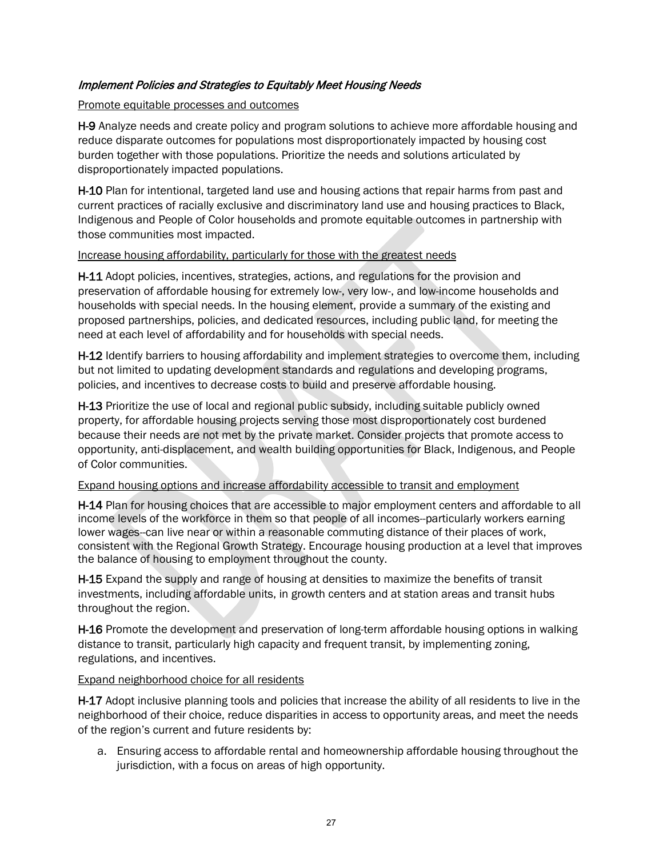# Implement Policies and Strategies to Equitably Meet Housing Needs

# Promote equitable processes and outcomes

H-9 Analyze needs and create policy and program solutions to achieve more affordable housing and reduce disparate outcomes for populations most disproportionately impacted by housing cost burden together with those populations. Prioritize the needs and solutions articulated by disproportionately impacted populations.

H-10 Plan for intentional, targeted land use and housing actions that repair harms from past and current practices of racially exclusive and discriminatory land use and housing practices to Black, Indigenous and People of Color households and promote equitable outcomes in partnership with those communities most impacted.

# Increase housing affordability, particularly for those with the greatest needs

H-11 Adopt policies, incentives, strategies, actions, and regulations for the provision and preservation of affordable housing for extremely low-, very low-, and low-income households and households with special needs. In the housing element, provide a summary of the existing and proposed partnerships, policies, and dedicated resources, including public land, for meeting the need at each level of affordability and for households with special needs.

H-12 Identify barriers to housing affordability and implement strategies to overcome them, including but not limited to updating development standards and regulations and developing programs, policies, and incentives to decrease costs to build and preserve affordable housing.

H-13 Prioritize the use of local and regional public subsidy, including suitable publicly owned property, for affordable housing projects serving those most disproportionately cost burdened because their needs are not met by the private market. Consider projects that promote access to opportunity, anti-displacement, and wealth building opportunities for Black, Indigenous, and People of Color communities.

# Expand housing options and increase affordability accessible to transit and employment

H-14 Plan for housing choices that are accessible to major employment centers and affordable to all income levels of the workforce in them so that people of all incomes--particularly workers earning lower wages--can live near or within a reasonable commuting distance of their places of work, consistent with the Regional Growth Strategy. Encourage housing production at a level that improves the balance of housing to employment throughout the county.

H-15 Expand the supply and range of housing at densities to maximize the benefits of transit investments, including affordable units, in growth centers and at station areas and transit hubs throughout the region.

H-16 Promote the development and preservation of long-term affordable housing options in walking distance to transit, particularly high capacity and frequent transit, by implementing zoning, regulations, and incentives.

# Expand neighborhood choice for all residents

H-17 Adopt inclusive planning tools and policies that increase the ability of all residents to live in the neighborhood of their choice, reduce disparities in access to opportunity areas, and meet the needs of the region's current and future residents by:

a. Ensuring access to affordable rental and homeownership affordable housing throughout the jurisdiction, with a focus on areas of high opportunity.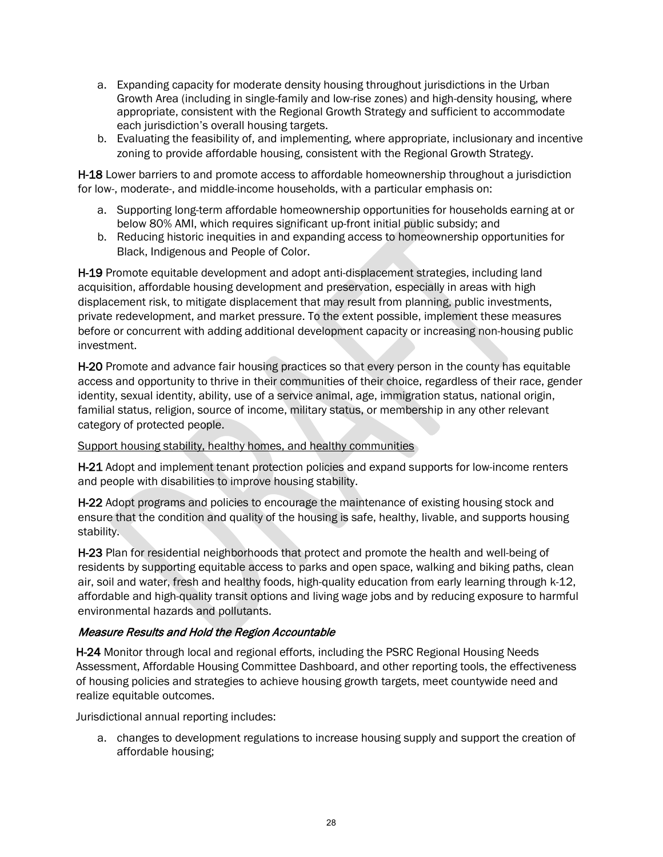- a. Expanding capacity for moderate density housing throughout jurisdictions in the Urban Growth Area (including in single-family and low-rise zones) and high-density housing, where appropriate, consistent with the Regional Growth Strategy and sufficient to accommodate each jurisdiction's overall housing targets.
- b. Evaluating the feasibility of, and implementing, where appropriate, inclusionary and incentive zoning to provide affordable housing, consistent with the Regional Growth Strategy.

H-18 Lower barriers to and promote access to affordable homeownership throughout a jurisdiction for low-, moderate-, and middle-income households, with a particular emphasis on:

- a. Supporting long-term affordable homeownership opportunities for households earning at or below 80% AMI, which requires significant up-front initial public subsidy; and
- b. Reducing historic inequities in and expanding access to homeownership opportunities for Black, Indigenous and People of Color.

H-19 Promote equitable development and adopt anti-displacement strategies, including land acquisition, affordable housing development and preservation, especially in areas with high displacement risk, to mitigate displacement that may result from planning, public investments, private redevelopment, and market pressure. To the extent possible, implement these measures before or concurrent with adding additional development capacity or increasing non-housing public investment.

H-20 Promote and advance fair housing practices so that every person in the county has equitable access and opportunity to thrive in their communities of their choice, regardless of their race, gender identity, sexual identity, ability, use of a service animal, age, immigration status, national origin, familial status, religion, source of income, military status, or membership in any other relevant category of protected people.

# Support housing stability, healthy homes, and healthy communities

H-21 Adopt and implement tenant protection policies and expand supports for low-income renters and people with disabilities to improve housing stability.

H-22 Adopt programs and policies to encourage the maintenance of existing housing stock and ensure that the condition and quality of the housing is safe, healthy, livable, and supports housing stability.

H-23 Plan for residential neighborhoods that protect and promote the health and well-being of residents by supporting equitable access to parks and open space, walking and biking paths, clean air, soil and water, fresh and healthy foods, high-quality education from early learning through k-12, affordable and high-quality transit options and living wage jobs and by reducing exposure to harmful environmental hazards and pollutants.

# Measure Results and Hold the Region Accountable

H-24 Monitor through local and regional efforts, including the PSRC Regional Housing Needs Assessment, Affordable Housing Committee Dashboard, and other reporting tools, the effectiveness of housing policies and strategies to achieve housing growth targets, meet countywide need and realize equitable outcomes.

Jurisdictional annual reporting includes:

a. changes to development regulations to increase housing supply and support the creation of affordable housing;